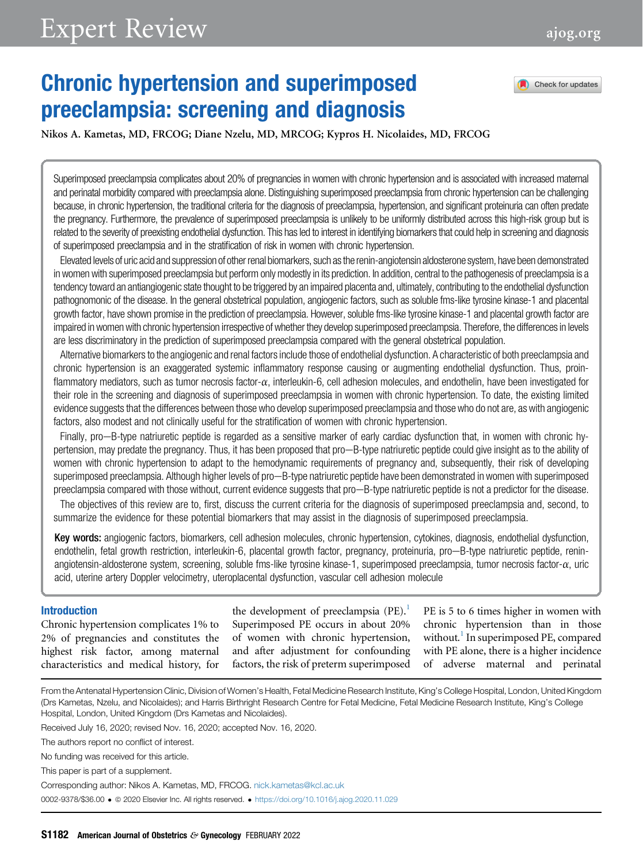# Expert Review [ajog.org](http://www.AJOG.org)

## Chronic hypertension and superimposed preeclampsia: screening and diagnosis



Nikos A. Kametas, MD, FRCOG; Diane Nzelu, MD, MRCOG; Kypros H. Nicolaides, MD, FRCOG

Superimposed preeclampsia complicates about 20% of pregnancies in women with chronic hypertension and is associated with increased maternal and perinatal morbidity compared with preeclampsia alone. Distinguishing superimposed preeclampsia from chronic hypertension can be challenging because, in chronic hypertension, the traditional criteria for the diagnosis of preeclampsia, hypertension, and significant proteinuria can often predate the pregnancy. Furthermore, the prevalence of superimposed preeclampsia is unlikely to be uniformly distributed across this high-risk group but is related to the severity of preexisting endothelial dysfunction. This has led to interest in identifying biomarkers that could help in screening and diagnosis of superimposed preeclampsia and in the stratification of risk in women with chronic hypertension.

Elevated levels of uric acid and suppression of otherrenal biomarkers, such as therenin-angiotensin aldosterone system, have been demonstrated in women with superimposed preeclampsia but perform only modestly in its prediction. In addition, central to the pathogenesis of preeclampsia is a tendency toward an antiangiogenic state thought to be triggered by an impaired placenta and, ultimately, contributing to the endothelial dysfunction pathognomonic of the disease. In the general obstetrical population, angiogenic factors, such as soluble fms-like tyrosine kinase-1 and placental growth factor, have shown promise in the prediction of preeclampsia. However, soluble fms-like tyrosine kinase-1 and placental growth factor are impaired in women with chronic hypertension irrespective of whether they develop superimposed preeclampsia. Therefore, the differences in levels are less discriminatory in the prediction of superimposed preeclampsia compared with the general obstetrical population.

Alternative biomarkers to the angiogenic and renal factors include those of endothelial dysfunction. A characteristic of both preeclampsia and chronic hypertension is an exaggerated systemic inflammatory response causing or augmenting endothelial dysfunction. Thus, proinflammatory mediators, such as tumor necrosis factor-a, interleukin-6, cell adhesion molecules, and endothelin, have been investigated for their role in the screening and diagnosis of superimposed preeclampsia in women with chronic hypertension. To date, the existing limited evidence suggests that the differences between those who develop superimposed preeclampsia and those who do not are, as with angiogenic factors, also modest and not clinically useful for the stratification of women with chronic hypertension.

Finally, pro-B-type natriuretic peptide is regarded as a sensitive marker of early cardiac dysfunction that, in women with chronic hypertension, may predate the pregnancy. Thus, it has been proposed that pro—B-type natriuretic peptide could give insight as to the ability of women with chronic hypertension to adapt to the hemodynamic requirements of pregnancy and, subsequently, their risk of developing superimposed preeclampsia. Although higher levels of pro-B-type natriuretic peptide have been demonstrated in women with superimposed preeclampsia compared with those without, current evidence suggests that pro-B-type natriuretic peptide is not a predictor for the disease.

The objectives of this review are to, first, discuss the current criteria for the diagnosis of superimposed preeclampsia and, second, to summarize the evidence for these potential biomarkers that may assist in the diagnosis of superimposed preeclampsia.

Key words: angiogenic factors, biomarkers, cell adhesion molecules, chronic hypertension, cytokines, diagnosis, endothelial dysfunction, endothelin, fetal growth restriction, interleukin-6, placental growth factor, pregnancy, proteinuria, pro-B-type natriuretic peptide, reninangiotensin-aldosterone system, screening, soluble fms-like tyrosine kinase-1, superimposed preeclampsia, tumor necrosis factor-a, uric acid, uterine artery Doppler velocimetry, uteroplacental dysfunction, vascular cell adhesion molecule

#### Introduction

Chronic hypertension complicates 1% to 2% of pregnancies and constitutes the highest risk factor, among maternal characteristics and medical history, for the development of preeclampsia  $(PE).<sup>1</sup>$ Superimposed PE occurs in about 20% of women with chronic hypertension, and after adjustment for confounding factors, the risk of preterm superimposed

PE is 5 to 6 times higher in women with chronic hypertension than in those without.<sup>1</sup> In superimposed PE, compared with PE alone, there is a higher incidence of adverse maternal and perinatal

From the Antenatal Hypertension Clinic, Division of Women's Health, Fetal Medicine Research Institute, King's College Hospital, London, United Kingdom (Drs Kametas, Nzelu, and Nicolaides); and Harris Birthright Research Centre for Fetal Medicine, Fetal Medicine Research Institute, King's College Hospital, London, United Kingdom (Drs Kametas and Nicolaides).

Received July 16, 2020; revised Nov. 16, 2020; accepted Nov. 16, 2020.

The authors report no conflict of interest.

No funding was received for this article.

This paper is part of a supplement.

Corresponding author: Nikos A. Kametas, MD, FRCOG. [nick.kametas@kcl.ac.uk](mailto:nick.kametas@kcl.ac.uk)

0002-9378/\$36.00 ª 2020 Elsevier Inc. All rights reserved. <https://doi.org/10.1016/j.ajog.2020.11.029>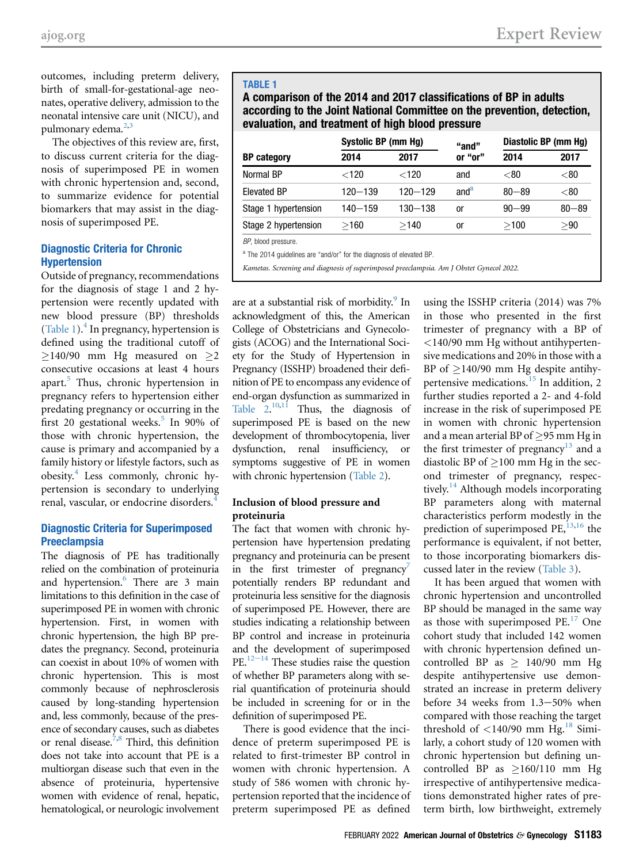outcomes, including preterm delivery, birth of small-for-gestational-age neonates, operative delivery, admission to the neonatal intensive care unit (NICU), and pulmonary edema.<sup>[2](#page-10-1),[3](#page-10-2)</sup>

The objectives of this review are, first, to discuss current criteria for the diagnosis of superimposed PE in women with chronic hypertension and, second, to summarize evidence for potential biomarkers that may assist in the diagnosis of superimposed PE.

#### Diagnostic Criteria for Chronic Hypertension

Outside of pregnancy, recommendations for the diagnosis of stage 1 and 2 hypertension were recently updated with new blood pressure (BP) thresholds [\(Table 1\)](#page-1-0).<sup>[4](#page-10-3)</sup> In pregnancy, hypertension is defined using the traditional cutoff of  $\geq$ 140/90 mm Hg measured on  $\geq$ 2 consecutive occasions at least 4 hours apart.[5](#page-10-4) Thus, chronic hypertension in pregnancy refers to hypertension either predating pregnancy or occurring in the first 20 gestational weeks.<sup>[5](#page-10-4)</sup> In 90% of those with chronic hypertension, the cause is primary and accompanied by a family history or lifestyle factors, such as obesity.[4](#page-10-3) Less commonly, chronic hypertension is secondary to underlying renal, vascular, or endocrine disorders.<sup>[4](#page-10-3)</sup>

#### Diagnostic Criteria for Superimposed **Preeclampsia**

The diagnosis of PE has traditionally relied on the combination of proteinuria and hypertension.<sup>[6](#page-10-5)</sup> There are 3 main limitations to this definition in the case of superimposed PE in women with chronic hypertension. First, in women with chronic hypertension, the high BP predates the pregnancy. Second, proteinuria can coexist in about 10% of women with chronic hypertension. This is most commonly because of nephrosclerosis caused by long-standing hypertension and, less commonly, because of the presence of secondary causes, such as diabetes or renal disease.<sup>[7](#page-10-6),[8](#page-10-7)</sup> Third, this definition does not take into account that PE is a multiorgan disease such that even in the absence of proteinuria, hypertensive women with evidence of renal, hepatic, hematological, or neurologic involvement

#### <span id="page-1-0"></span>TABLE 1

A comparison of the 2014 and 2017 classifications of BP in adults according to the Joint National Committee on the prevention, detection, evaluation, and treatment of high blood pressure

|                      | Systolic BP (mm Hq) |             | "and"            | Diastolic BP (mm Hg) |           |  |  |
|----------------------|---------------------|-------------|------------------|----------------------|-----------|--|--|
| <b>BP</b> category   | 2014                | 2017        | or "or"          | 2014                 | 2017      |  |  |
| Normal BP            | $<$ 120             | $<$ 120     | and              | < 80                 | < 80      |  |  |
| <b>Elevated BP</b>   | 120-139             | $120 - 129$ | and <sup>a</sup> | $80 - 89$            | $<$ 80    |  |  |
| Stage 1 hypertension | $140 - 159$         | $130 - 138$ | or               | $90 - 99$            | $80 - 89$ |  |  |
| Stage 2 hypertension | >160                | >140        | 0ľ               | >100                 | > 90      |  |  |
|                      |                     |             |                  |                      |           |  |  |

BP, blood pressure.

<span id="page-1-1"></span><sup>a</sup> The 2014 guidelines are "and/or" for the diagnosis of elevated BP.

Kametas. Screening and diagnosis of superimposed preeclampsia. Am J Obstet Gynecol 2022.

are at a substantial risk of morbidity. $9 \text{ In}$  $9 \text{ In}$ acknowledgment of this, the American College of Obstetricians and Gynecologists (ACOG) and the International Society for the Study of Hypertension in Pregnancy (ISSHP) broadened their definition of PE to encompass any evidence of end-organ dysfunction as summarized in Table  $2^{10,11}$  $2^{10,11}$  $2^{10,11}$  $2^{10,11}$  Thus, the diagnosis of superimposed PE is based on the new development of thrombocytopenia, liver dysfunction, renal insufficiency, or symptoms suggestive of PE in women with chronic hypertension [\(Table 2](#page-2-0)).

#### Inclusion of blood pressure and proteinuria

The fact that women with chronic hypertension have hypertension predating pregnancy and proteinuria can be present in the first trimester of pregnancy<sup>7</sup> potentially renders BP redundant and proteinuria less sensitive for the diagnosis of superimposed PE. However, there are studies indicating a relationship between BP control and increase in proteinuria an[d the](#page-10-11) development of superimposed  $PE.<sup>12-14</sup>$  These studies raise the question of whether BP parameters along with serial quantification of proteinuria should be included in screening for or in the definition of superimposed PE.

There is good evidence that the incidence of preterm superimposed PE is related to first-trimester BP control in women with chronic hypertension. A study of 586 women with chronic hypertension reported that the incidence of preterm superimposed PE as defined

using the ISSHP criteria (2014) was 7% in those who presented in the first trimester of pregnancy with a BP of <140/90 mm Hg without antihypertensive medications and 20% in those with a BP of  $\geq$ 140/90 mm Hg despite antihypertensive medications.[15](#page-11-0) In addition, 2 further studies reported a 2- and 4-fold increase in the risk of superimposed PE in women with chronic hypertension and a mean arterial BP of  $\geq$ 95 mm Hg in the first trimester of pregnancy<sup>[13](#page-10-12)</sup> and a diastolic BP of  $\geq$ 100 mm Hg in the second trimester of pregnancy, respec-tively.<sup>[14](#page-10-13)</sup> Although models incorporating BP parameters along with maternal characteristics perform modestly in the prediction of superimposed PE, $^{13,16}$  $^{13,16}$  $^{13,16}$  $^{13,16}$  the performance is equivalent, if not better, to those incorporating biomarkers discussed later in the review ([Table 3\)](#page-3-0).

It has been argued that women with chronic hypertension and uncontrolled BP should be managed in the same way as those with superimposed  $PE.<sup>17</sup>$  $PE.<sup>17</sup>$  $PE.<sup>17</sup>$  One cohort study that included 142 women with chronic hypertension defined uncontrolled BP as  $\geq$  140/90 mm Hg despite antihypertensive use demonstrated an increase in preterm delivery before 34 weeks from  $1.3-50%$  when compared with those reaching the target threshold of  $\langle 140/90 \text{ mm Hg.}^{18} \text{ Simi} \rangle$  $\langle 140/90 \text{ mm Hg.}^{18} \text{ Simi} \rangle$  $\langle 140/90 \text{ mm Hg.}^{18} \text{ Simi} \rangle$ larly, a cohort study of 120 women with chronic hypertension but defining uncontrolled BP as  $\geq$ 160/110 mm Hg irrespective of antihypertensive medications demonstrated higher rates of preterm birth, low birthweight, extremely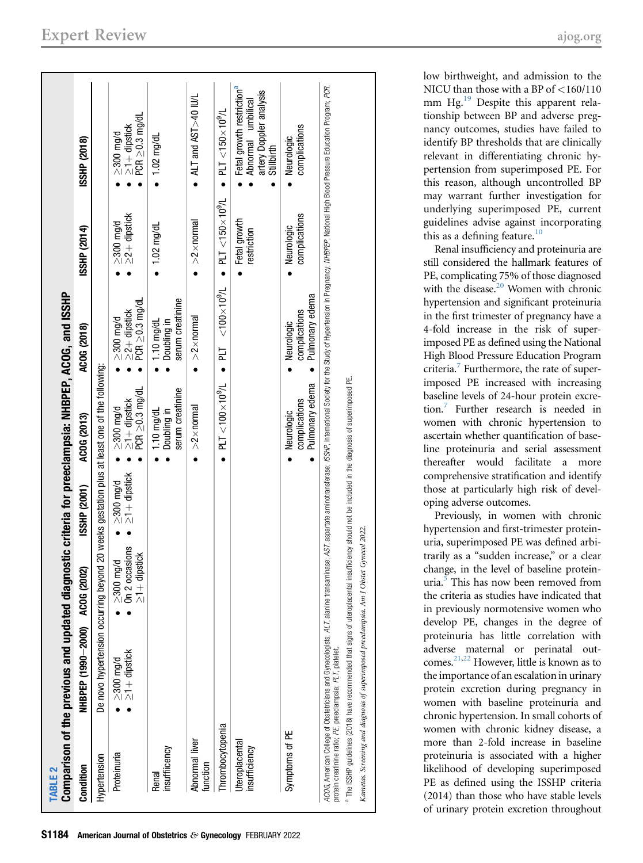<span id="page-2-0"></span>

| <b>TABLE 2</b>                                             | Comparison of the previous and updated diagno                                                                                                                                                                                                  |                                                          |                                       | ostic criteria for preeclampsia: NHBPEP, ACOG, and ISSHP |                                                               |                                       |                                                                                                                                                                                                                                |
|------------------------------------------------------------|------------------------------------------------------------------------------------------------------------------------------------------------------------------------------------------------------------------------------------------------|----------------------------------------------------------|---------------------------------------|----------------------------------------------------------|---------------------------------------------------------------|---------------------------------------|--------------------------------------------------------------------------------------------------------------------------------------------------------------------------------------------------------------------------------|
| Condition                                                  | NHBPEP (1990-2000) ACOG (2002)                                                                                                                                                                                                                 |                                                          | <b>ISSHP (2001)</b>                   | ACOG (2013)                                              | ACOG (2018)                                                   | ISSHP (2014)                          | ISSHP (2018)                                                                                                                                                                                                                   |
| Hypertension                                               | De novo hypertension occurring beyond 20 weeks gestation plus at least one of the following                                                                                                                                                    |                                                          |                                       |                                                          |                                                               |                                       |                                                                                                                                                                                                                                |
| Proteinuria                                                | $\geq$ 300 mg/d<br>$\geq$ 1 + dipstick<br>$\bullet$                                                                                                                                                                                            | On 2 occasions<br>$\geq$ 1 + dipstick<br>$\geq 300$ mg/d | $\geq$ 300 mg/d<br>$\geq$ 1+ dipstick | ≥300 mg/d<br>≥1 + dipstick<br>PCR ≥0.3 mg/dL             | $\geq$ 2+ dipstick<br>PCR $\geq$ 0.3 mg/dL<br>$\geq$ 300 mg/d | $\geq$ 300 mg/d<br>$\geq$ 2+ dipstick | ≥300 mg/d<br>≥1 + dipstick<br>PCR ≥0.3 mg/dL                                                                                                                                                                                   |
| insuffiicency<br>Renal                                     |                                                                                                                                                                                                                                                |                                                          |                                       | serum creatinine<br>$1.10$ mg/dL<br>Doubling in          | serum creatinine<br>1.10 mg/dL<br>Doubling in                 | $1.02$ mg/dL                          | $1.02$ mg/dL                                                                                                                                                                                                                   |
| Abnormal liver<br>function                                 |                                                                                                                                                                                                                                                |                                                          |                                       | $>2\times$ normal                                        | $>2\times$ normal                                             | $>2\times$ normal                     | ALT and AST >40 IU/L                                                                                                                                                                                                           |
| Thrombocytopenia                                           |                                                                                                                                                                                                                                                |                                                          |                                       | $PLT < 100 \times 10^9/L$                                | $PLT < 100 \times 10^{9}/L$                                   | $PLT < 150 \times 10^9/L$             | $PLT < 150 \times 10^{9}/L$                                                                                                                                                                                                    |
| Uteroplacental<br>insufficiency                            |                                                                                                                                                                                                                                                |                                                          |                                       |                                                          |                                                               | Fetal growth<br>restriction           | Fetal growth restriction <sup>a</sup><br>artery Doppler analysis<br>Abnormal umbilical<br>Stillbirth                                                                                                                           |
| Symptoms of PE                                             |                                                                                                                                                                                                                                                |                                                          |                                       | Pulmonary edema<br>complications<br>Neurologic           | Pulmonary edema<br>complications<br>Neurologic                | complications<br>Neurologic           | complications<br>Neurologic                                                                                                                                                                                                    |
| protein creatinine ratio; PE, preeclampsia; PLT, platelet. | <sup>a</sup> The ISSHP guidelines (2018) have recommended that signs of uteroplacental insufficiency should not be included in the diagnosis of superimposed PE.<br>Kametas. Screening and diagnosis of superimposed preeclampsia. Am J Obstet | Gynecol 2022.                                            |                                       |                                                          |                                                               |                                       | ACOG, American College of Obstetricians and Gynecologists; ALT, alanine transaminase; AST, aspartate aminotransise; SSHP, International Society for the Study of Hypertension in Pregrancy; WHBPEP, National Blood Pressure Ed |

<span id="page-2-1"></span>low birthweight, and admission to the NICU than those with a BP of <160/110 mm Hg.<sup>19</sup> Despite this apparent relationship between BP and adverse pregnancy outcomes, studies have failed to identify BP thresholds that are clinically relevant in differentiating chronic hypertension from superimposed PE. For this reason, although uncontrolled BP may warrant further investigation for underlying superimposed PE, current guidelines advise against incorporating this as a defining feature. $10$ 

Renal insufficiency and proteinuria are still considered the hallmark features of PE, complicating 75% of those diagnosed with the disease.<sup>[20](#page-11-5)</sup> Women with chronic hypertension and significant proteinuria in the first trimester of pregnancy have a 4-fold increase in the risk of superimposed PE as defined using the National High Blood Pressure Education Program criteria.<sup>7</sup> Furthermore, the rate of superimposed PE increased with increasing baseline levels of 24-hour protein excretion.[7](#page-10-6) Further research is needed in women with chronic hypertension to ascertain whether quantification of baseline proteinuria and serial assessment thereafter would facilitate a more comprehensive stratification and identify those at particularly high risk of developing adverse outcomes.

Previously, in women with chronic hypertension and first-trimester proteinuria, superimposed PE was defined arbitrarily as a "sudden increase," or a clear change, in the level of baseline proteinuria.<sup>5</sup> This has now been removed from the criteria as studies have indicated that in previously normotensive women who develop PE, changes in the degree of proteinuria has little correlation with adverse maternal or perinatal outcomes[.21](#page-11-6)[,22](#page-11-7) However, little is known as to the importance of an escalation in urinary protein excretion during pregnancy in women with baseline proteinuria and chronic hypertension. In small cohorts of women with chronic kidney disease, a more than 2-fold increase in baseline proteinuria is associated with a higher likelihood of developing superimposed PE as defined using the ISSHP criteria (2014) than those who have stable levels of urinary protein excretion throughout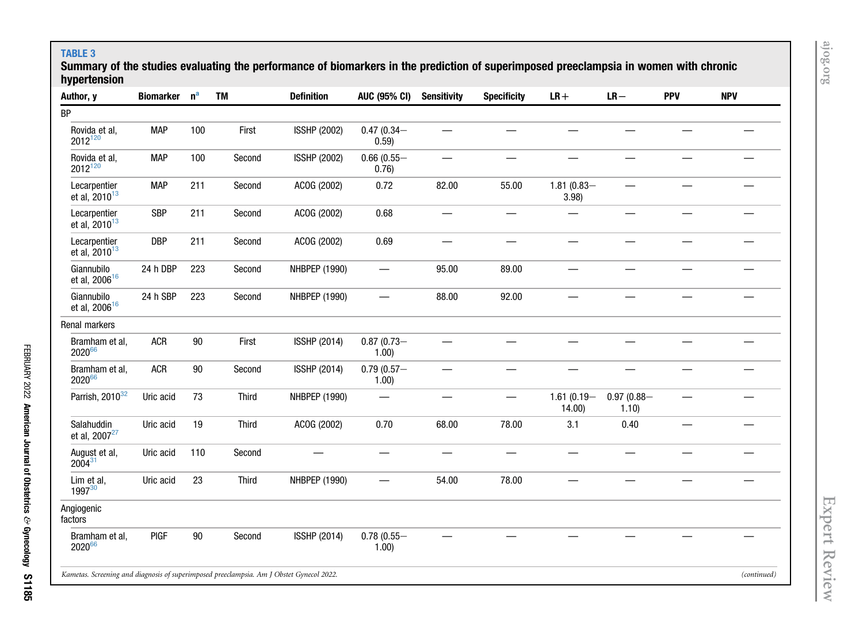#### TABLE 3

 Summary of the studies evaluating the performance of biomarkers in the prediction of superimposed preeclampsia in women with chronic hypertension

<span id="page-3-0"></span>

| Author, y                                                                                | <b>Biomarker</b> | $n^a$  | <b>TM</b> | <b>Definition</b>   | <b>AUC (95% CI)</b>   | <b>Sensitivity</b> | <b>Specificity</b> | $LR+$                  | $LR -$                 | <b>PPV</b> | <b>NPV</b>  |
|------------------------------------------------------------------------------------------|------------------|--------|-----------|---------------------|-----------------------|--------------------|--------------------|------------------------|------------------------|------------|-------------|
| <b>BP</b>                                                                                |                  |        |           |                     |                       |                    |                    |                        |                        |            |             |
| Rovida et al,<br>2012120                                                                 | <b>MAP</b>       | 100    | First     | <b>ISSHP (2002)</b> | $0.47(0.34 -$<br>0.59 |                    |                    |                        |                        |            |             |
| Rovida et al,<br>2012120                                                                 | <b>MAP</b>       | 100    | Second    | <b>ISSHP (2002)</b> | $0.66(0.55 -$<br>0.76 | —                  |                    |                        | —                      |            |             |
| Lecarpentier<br>et al, $2010^{13}$                                                       | <b>MAP</b>       | 211    | Second    | ACOG (2002)         | 0.72                  | 82.00              | 55.00              | $1.81(0.83 -$<br>3.98  | $\qquad \qquad \qquad$ |            |             |
| Lecarpentier<br>et al, $2010^{13}$                                                       | <b>SBP</b>       | 211    | Second    | ACOG (2002)         | 0.68                  |                    |                    |                        | —                      |            |             |
| Lecarpentier<br>et al, $2010^{13}$                                                       | <b>DBP</b>       | 211    | Second    | ACOG (2002)         | 0.69                  |                    |                    |                        |                        |            |             |
| Giannubilo<br>et al, 2006 <sup>16</sup>                                                  | 24 h DBP         | 223    | Second    | NHBPEP (1990)       |                       | 95.00              | 89.00              |                        |                        |            |             |
| Giannubilo<br>et al, 2006 <sup>16</sup>                                                  | 24 h SBP         | 223    | Second    | NHBPEP (1990)       |                       | 88.00              | 92.00              |                        |                        |            |             |
| Renal markers                                                                            |                  |        |           |                     |                       |                    |                    |                        |                        |            |             |
| Bramham et al,<br>202066                                                                 | <b>ACR</b>       | $90\,$ | First     | <b>ISSHP (2014)</b> | $0.87(0.73 -$<br>1.00 |                    |                    |                        |                        |            |             |
| Bramham et al,<br>202066                                                                 | <b>ACR</b>       | $90\,$ | Second    | <b>ISSHP (2014)</b> | $0.79(0.57 -$<br>1.00 |                    |                    |                        |                        |            |             |
| Parrish, 2010 <sup>32</sup>                                                              | Uric acid        | 73     | Third     | NHBPEP (1990)       |                       |                    |                    | $1.61(0.19 -$<br>14.00 | $0.97(0.88 -$<br>1.10  |            |             |
| Salahuddin<br>et al, 2007 <sup>27</sup>                                                  | Uric acid        | 19     | Third     | ACOG (2002)         | 0.70                  | 68.00              | 78.00              | 3.1                    | 0.40                   |            |             |
| August et al,<br>$2004^{31}$                                                             | Uric acid        | 110    | Second    |                     |                       |                    |                    |                        |                        |            |             |
| Lim et al,<br>1997 <sup>30</sup>                                                         | Uric acid        | 23     | Third     | NHBPEP (1990)       |                       | 54.00              | 78.00              |                        |                        |            |             |
| Angiogenic<br>factors                                                                    |                  |        |           |                     |                       |                    |                    |                        |                        |            |             |
| Bramham et al,<br>202066                                                                 | <b>PIGF</b>      | $90\,$ | Second    | <b>ISSHP (2014)</b> | $0.78(0.55 -$<br>1.00 |                    |                    |                        |                        |            |             |
| Kametas. Screening and diagnosis of superimposed preeclampsia. Am J Obstet Gynecol 2022. |                  |        |           |                     |                       |                    |                    |                        |                        |            | (continued) |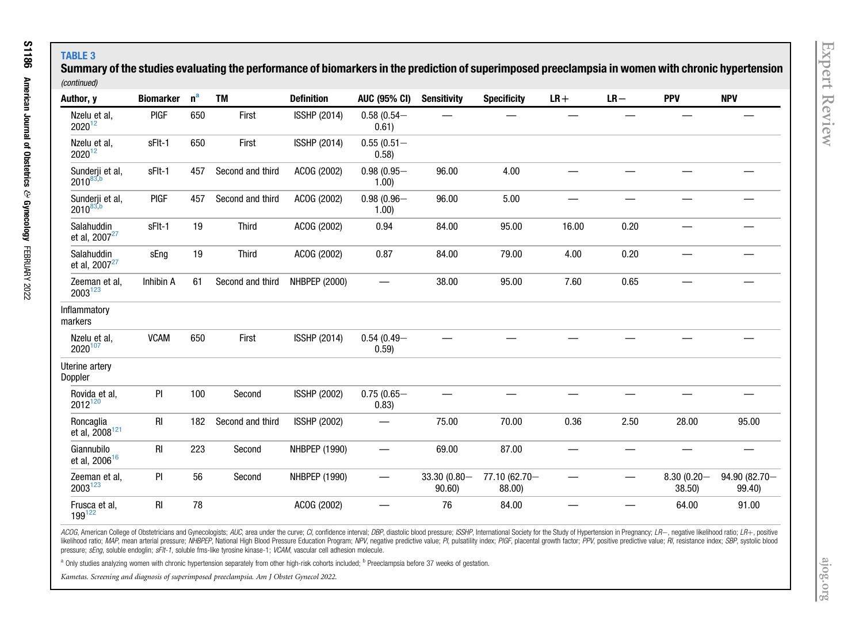### TABLE 3

 Summary of the studies evaluating the performance of biomarkers in the prediction of superimposed preeclampsia in women with chronic hypertension (continued)

| Author, y                               | <b>Biomarker</b> | n <sup>a</sup> | <b>TM</b>        | <b>Definition</b>   | <b>AUC (95% CI)</b>    | <b>Sensitivity</b>    | <b>Specificity</b>      | $LR+$ | $LR -$ | <b>PPV</b>             | <b>NPV</b>              |
|-----------------------------------------|------------------|----------------|------------------|---------------------|------------------------|-----------------------|-------------------------|-------|--------|------------------------|-------------------------|
| Nzelu et al,<br>$2020^{12}$             | <b>PIGF</b>      | 650            | First            | <b>ISSHP (2014)</b> | $0.58(0.54 -$<br>0.61) |                       |                         |       |        |                        |                         |
| Nzelu et al,<br>202012                  | sFIt-1           | 650            | First            | <b>ISSHP (2014)</b> | $0.55(0.51 -$<br>0.58) |                       |                         |       |        |                        |                         |
| Sunderji et al,<br>$2010^{83,b}$        | sFlt-1           | 457            | Second and third | ACOG (2002)         | $0.98(0.95 -$<br>1.00  | 96.00                 | 4.00                    |       |        |                        |                         |
| Sunderji et al,<br>$2010^{83,b}$        | <b>PIGF</b>      | 457            | Second and third | ACOG (2002)         | $0.98(0.96 -$<br>1.00  | 96.00                 | 5.00                    |       |        |                        |                         |
| Salahuddin<br>et al, 2007 <sup>27</sup> | sFlt-1           | 19             | <b>Third</b>     | ACOG (2002)         | 0.94                   | 84.00                 | 95.00                   | 16.00 | 0.20   |                        |                         |
| Salahuddin<br>et al, 2007 <sup>27</sup> | sEng             | 19             | Third            | ACOG (2002)         | 0.87                   | 84.00                 | 79.00                   | 4.00  | 0.20   |                        |                         |
| Zeeman et al,<br>$2003^{123}$           | Inhibin A        | 61             | Second and third | NHBPEP (2000)       |                        | 38.00                 | 95.00                   | 7.60  | 0.65   |                        |                         |
| Inflammatory<br>markers                 |                  |                |                  |                     |                        |                       |                         |       |        |                        |                         |
| Nzelu et al,<br>2020107                 | <b>VCAM</b>      | 650            | First            | <b>ISSHP (2014)</b> | $0.54(0.49 -$<br>0.59) |                       |                         |       |        |                        |                         |
| Uterine artery<br>Doppler               |                  |                |                  |                     |                        |                       |                         |       |        |                        |                         |
| Rovida et al,<br>2012 <sup>120</sup>    | PI               | 100            | Second           | <b>ISSHP (2002)</b> | $0.75(0.65 -$<br>0.83) |                       |                         |       |        |                        |                         |
| Roncaglia<br>et al, 2008 <sup>121</sup> | <b>RI</b>        | 182            | Second and third | <b>ISSHP (2002)</b> | $\equiv$               | 75.00                 | 70.00                   | 0.36  | 2.50   | 28.00                  | 95.00                   |
| Giannubilo<br>et al, 2006 <sup>16</sup> | RI               | 223            | Second           | NHBPEP (1990)       |                        | 69.00                 | 87.00                   |       |        |                        |                         |
| Zeeman et al,<br>2003123                | PI               | 56             | Second           | NHBPEP (1990)       |                        | 33.30 (0.80-<br>90.60 | 77.10 (62.70-<br>88.00) |       |        | $8.30(0.20 -$<br>38.50 | 94.90 (82.70-<br>99.40) |
| Frusca et al,<br>$199^{122}$            | RI               | 78             |                  | ACOG (2002)         |                        | 76                    | 84.00                   |       |        | 64.00                  | 91.00                   |

ACOG, American College of Obstetricians and Gynecologists; AUC, area under the curve; CI, confidence interval; DBP, diastolic blood pressure; ISSHP, International Society for the Study of Hypertension in Pregnancy; LR-, ne likelihood ratio; MAP, mean arterial pressure; NHBPEP, National High Blood Pressure Education Program; NPV, negative predictive value; PI, pulsatility index; PIGF, placental growth factor; PPV, positive predictive value; R pressure; sEng, soluble endoglin; sFlt-1, soluble fms-like tyrosine kinase-1; VCAM, vascular cell adhesion molecule.

<span id="page-4-0"></span><sup>a</sup> Only studies analyzing women with chronic hypertension separately from other high-risk cohorts included; <sup>b</sup> Preeclampsia before 37 weeks of gestation.

Kametas. Screening and diagnosis of superimposed preeclampsia. Am J Obstet Gynecol 2022.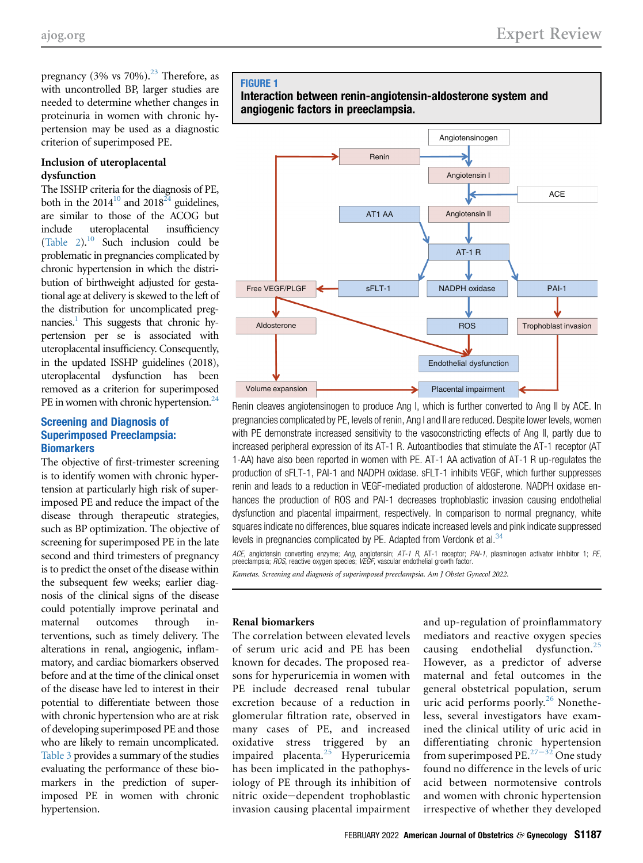pregnancy (3% vs  $70\%$ ).<sup>[23](#page-11-13)</sup> Therefore, as with uncontrolled BP, larger studies are needed to determine whether changes in proteinuria in women with chronic hypertension may be used as a diagnostic criterion of superimposed PE.

#### Inclusion of uteroplacental dysfunction

The ISSHP criteria for the diagnosis of PE, both in the 2014<sup>10</sup> and 2018<sup> $24$ </sup> guidelines, are similar to those of the ACOG but include uteroplacental insufficiency [\(Table 2](#page-2-0)). $^{10}$  $^{10}$  $^{10}$  Such inclusion could be problematic in pregnancies complicated by chronic hypertension in which the distribution of birthweight adjusted for gestational age at delivery is skewed to the left of the distribution for uncomplicated pregnancies.<sup>1</sup> This suggests that chronic hypertension per se is associated with uteroplacental insufficiency. Consequently, in the updated ISSHP guidelines (2018), uteroplacental dysfunction has been removed as a criterion for superimposed PE in women with chronic hypertension. $^{24}$ 

#### Screening and Diagnosis of Superimposed Preeclampsia: **Biomarkers**

The objective of first-trimester screening is to identify women with chronic hypertension at particularly high risk of superimposed PE and reduce the impact of the disease through therapeutic strategies, such as BP optimization. The objective of screening for superimposed PE in the late second and third trimesters of pregnancy is to predict the onset of the disease within the subsequent few weeks; earlier diagnosis of the clinical signs of the disease could potentially improve perinatal and maternal outcomes through interventions, such as timely delivery. The alterations in renal, angiogenic, inflammatory, and cardiac biomarkers observed before and at the time of the clinical onset of the disease have led to interest in their potential to differentiate between those with chronic hypertension who are at risk of developing superimposed PE and those who are likely to remain uncomplicated. [Table 3](#page-3-0) provides a summary of the studies evaluating the performance of these biomarkers in the prediction of superimposed PE in women with chronic hypertension.

#### <span id="page-5-0"></span>FIGURE 1





Renin cleaves angiotensinogen to produce Ang I, which is further converted to Ang II by ACE. In pregnancies complicated by PE, levels of renin, Ang I and II are reduced. Despite lower levels, women with PE demonstrate increased sensitivity to the vasoconstricting effects of Ang II, partly due to increased peripheral expression of its AT-1 R. Autoantibodies that stimulate the AT-1 receptor (AT 1-AA) have also been reported in women with PE. AT-1 AA activation of AT-1 R up-regulates the production of sFLT-1, PAI-1 and NADPH oxidase. sFLT-1 inhibits VEGF, which further suppresses renin and leads to a reduction in VEGF-mediated production of aldosterone. NADPH oxidase enhances the production of ROS and PAI-1 decreases trophoblastic invasion causing endothelial dysfunction and placental impairment, respectively. In comparison to normal pregnancy, white squares indicate no differences, blue squares indicate increased levels and pink indicate suppressed levels in pregnancies complicated by PE. Adapted from Verdonk et al.<sup>[34](#page-11-18)</sup>

ACE, angiotensin converting enzyme; Ang, angiotensin; AT-1 R, AT-1 receptor; PAI-1, plasminogen activator inhibitor 1; PE, preeclampsia; ROS, reactive oxygen species; VEGF, vascular endothelial growth factor.

Kametas. Screening and diagnosis of superimposed preeclampsia. Am J Obstet Gynecol 2022.

#### Renal biomarkers

The correlation between elevated levels of serum uric acid and PE has been known for decades. The proposed reasons for hyperuricemia in women with PE include decreased renal tubular excretion because of a reduction in glomerular filtration rate, observed in many cases of PE, and increased oxidative stress triggered by an impaired placenta.[25](#page-11-15) Hyperuricemia has been implicated in the pathophysiology of PE through its inhibition of nitric oxide-dependent trophoblastic invasion causing placental impairment and up-regulation of proinflammatory mediators and reactive oxygen species causing endothelial dysfunction.[25](#page-11-15) However, as a predictor of adverse maternal and fetal outcomes in the general obstetrical population, serum uric acid performs poorly.<sup>[26](#page-11-16)</sup> Nonetheless, several investigators have examined the clinical utility of uric acid in differentiating chronic hypertension from superimposed PE.<sup>[27](#page-11-17)-32</sup> One study found no difference in the levels of uric acid between normotensive controls and women with chronic hypertension irrespective of whether they developed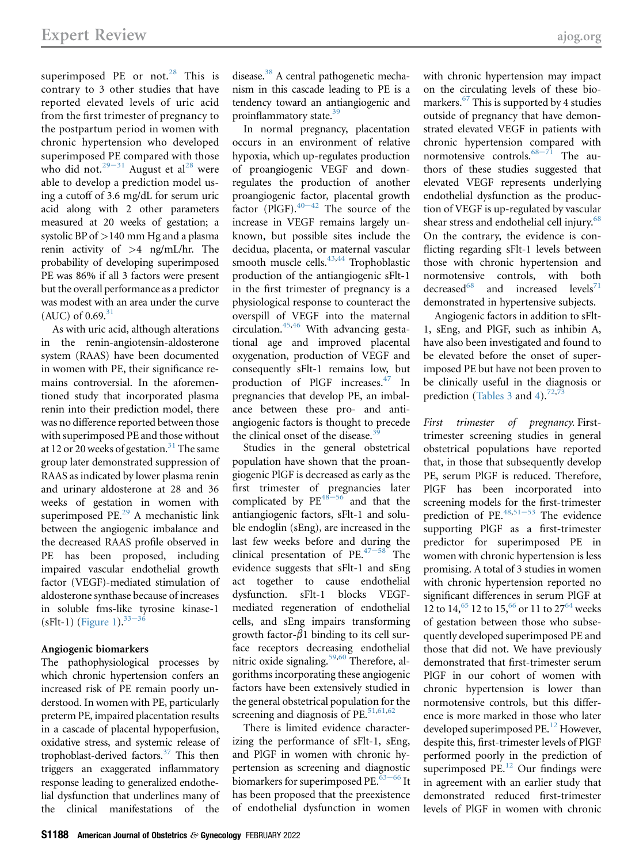superimposed PE or not. $28$  This is contrary to 3 other studies that have reported elevated levels of uric acid from the first trimester of pregnancy to the postpartum period in women with chronic hypertension who developed superimposed PE compared with those who did not.<sup>29-[31](#page-11-20)</sup> August et al<sup>[28](#page-11-19)</sup> were able to develop a prediction model using a cutoff of 3.6 mg/dL for serum uric acid along with 2 other parameters measured at 20 weeks of gestation; a systolic BP of  $>$ 140 mm Hg and a plasma renin activity of  $>4$  ng/mL/hr. The probability of developing superimposed PE was 86% if all 3 factors were present but the overall performance as a predictor was modest with an area under the curve (AUC) of  $0.69$ . $31$ 

As with uric acid, although alterations in the renin-angiotensin-aldosterone system (RAAS) have been documented in women with PE, their significance remains controversial. In the aforementioned study that incorporated plasma renin into their prediction model, there was no difference reported between those with superimposed PE and those without at 12 or 20 weeks of gestation.<sup>31</sup> The same group later demonstrated suppression of RAAS as indicated by lower plasma renin and urinary aldosterone at 28 and 36 weeks of gestation in women with superimposed PE.<sup>29</sup> A mechanistic link between the angiogenic imbalance and the decreased RAAS profile observed in PE has been proposed, including impaired vascular endothelial growth factor (VEGF)-mediated stimulation of aldosterone synthase because of increases in soluble fms-li[ke ty](#page-11-22)rosine kinase-1 (sFlt-1) ([Figure 1\)](#page-5-0).  $33-36$ 

#### Angiogenic biomarkers

The pathophysiological processes by which chronic hypertension confers an increased risk of PE remain poorly understood. In women with PE, particularly preterm PE, impaired placentation results in a cascade of placental hypoperfusion, oxidative stress, and systemic release of trophoblast-derived factors.<sup>37</sup> This then triggers an exaggerated inflammatory response leading to generalized endothelial dysfunction that underlines many of the clinical manifestations of the

disease.<sup>38</sup> A central pathogenetic mechanism in this cascade leading to PE is a tendency toward an antiangiogenic and proinflammatory state.<sup>[39](#page-11-25)</sup>

In normal pregnancy, placentation occurs in an environment of relative hypoxia, which up-regulates production of proangiogenic VEGF and downregulates the production of another proangiogenic factor, placental growth factor (PlGF). $40-42$  $40-42$  The source of the increase in VEGF remains largely unknown, but possible sites include the decidua, placenta, or maternal vascular smooth muscle cells. $43,44$  $43,44$  Trophoblastic production of the antiangiogenic sFlt-1 in the first trimester of pregnancy is a physiological response to counteract the overspill of VEGF into the maternal circulation. $45,46$  $45,46$  With advancing gestational age and improved placental oxygenation, production of VEGF and consequently sFlt-1 remains low, but production of PlGF increases.<sup>47</sup> In pregnancies that develop PE, an imbalance between these pro- and antiangiogenic factors is thought to precede the clinical onset of the disease. $39$ 

Studies in the general obstetrical population have shown that the proangiogenic PlGF is decreased as early as the first trimester of pregnancies later complicated by  $PE^{48-56}$  $PE^{48-56}$  $PE^{48-56}$  and that the antiangiogenic factors, sFlt-1 and soluble endoglin (sEng), are increased in the last few weeks before and during the clinical presentation of PE. $47-58$  $47-58$  The evidence suggests that sFlt-1 and sEng act together to cause endothelial dysfunction. sFlt-1 blocks VEGFmediated regeneration of endothelial cells, and sEng impairs transforming growth factor- $\beta$ 1 binding to its cell surface receptors decreasing endothelial nitric oxide signaling.<sup>[59,](#page-12-2)[60](#page-12-3)</sup> Therefore, algorithms incorporating these angiogenic factors have been extensively studied in the general obstetrical population for the screening and diagnosis of PE. $51,61,62$  $51,61,62$  $51,61,62$ 

There is limited evidence characterizing the performance of sFlt-1, sEng, and PlGF in women with chronic hypertension as screening and diagnostic biomarkers for superimposed PE. $63-66$  $63-66$  It has been proposed that the preexistence of endothelial dysfunction in women

with chronic hypertension may impact on the circulating levels of these biomarkers. $67$  This is supported by 4 studies outside of pregnancy that have demonstrated elevated VEGF in patients with chronic hypertension compared with normotensive controls. $68-71$  $68-71$  The authors of these studies suggested that elevated VEGF represents underlying endothelial dysfunction as the production of VEGF is up-regulated by vascular shear stress and endothelial cell injury.<sup>[68](#page-12-8)</sup> On the contrary, the evidence is conflicting regarding sFlt-1 levels between those with chronic hypertension and normotensive controls, with both<br>decreased  $^{68}$  and increased levels<sup>71</sup> and increased levels<sup>[71](#page-12-9)</sup> demonstrated in hypertensive subjects.

Angiogenic factors in addition to sFlt-1, sEng, and PlGF, such as inhibin A, have also been investigated and found to be elevated before the onset of superimposed PE but have not been proven to be clinically useful in the diagnosis or prediction ([Tables 3](#page-3-0) and [4](#page-8-0)).<sup>[72](#page-12-10)[,73](#page-12-11)</sup>

First trimester of pregnancy. Firsttrimester screening studies in general obstetrical populations have reported that, in those that subsequently develop PE, serum PlGF is reduced. Therefore, PlGF has been incorporated into screening models for the first-trimester prediction of PE. $48,51-53$  $48,51-53$  $48,51-53$  The evidence supporting PlGF as a first-trimester predictor for superimposed PE in women with chronic hypertension is less promising. A total of 3 studies in women with chronic hypertension reported no significant differences in serum PlGF at 12 to 14,<sup>[65](#page-12-12)</sup> 12 to 15,<sup>[66](#page-12-13)</sup> or 11 to 27<sup>64</sup> weeks of gestation between those who subsequently developed superimposed PE and those that did not. We have previously demonstrated that first-trimester serum PlGF in our cohort of women with chronic hypertension is lower than normotensive controls, but this difference is more marked in those who later developed superimposed PE.<sup>[12](#page-10-11)</sup> However, despite this, first-trimester levels of PlGF performed poorly in the prediction of superimposed  $PE<sup>12</sup>$  $PE<sup>12</sup>$  $PE<sup>12</sup>$  Our findings were in agreement with an earlier study that demonstrated reduced first-trimester levels of PlGF in women with chronic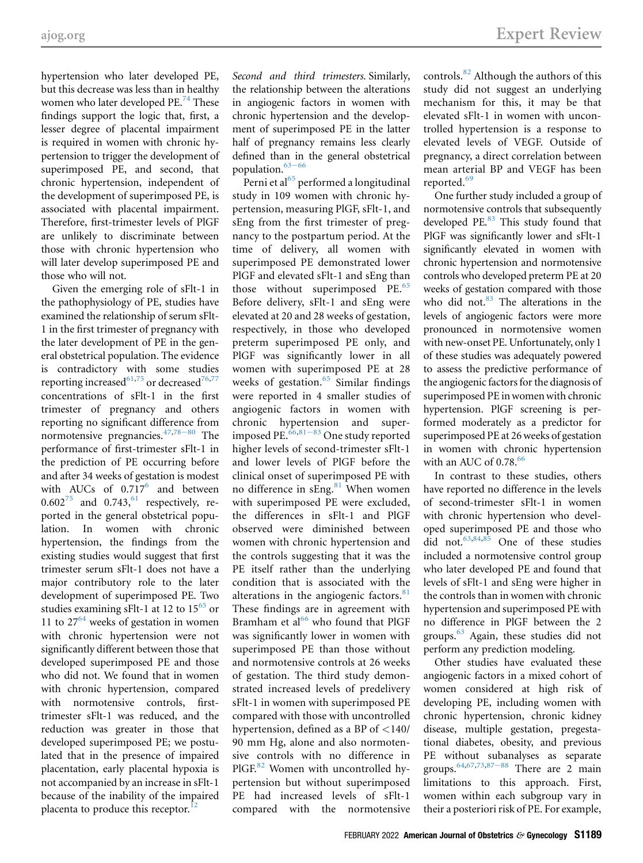hypertension who later developed PE, but this decrease was less than in healthy women who later developed  $PE.^{74}$  $PE.^{74}$  $PE.^{74}$  These findings support the logic that, first, a lesser degree of placental impairment is required in women with chronic hypertension to trigger the development of superimposed PE, and second, that chronic hypertension, independent of the development of superimposed PE, is associated with placental impairment. Therefore, first-trimester levels of PlGF are unlikely to discriminate between those with chronic hypertension who will later develop superimposed PE and those who will not.

Given the emerging role of sFlt-1 in the pathophysiology of PE, studies have examined the relationship of serum sFlt-1 in the first trimester of pregnancy with the later development of PE in the general obstetrical population. The evidence is contradictory with some studies reporting increased<sup>[61](#page-12-4)[,75](#page-12-16)</sup> or decreased<sup>76[,77](#page-12-18)</sup> concentrations of sFlt-1 in the first trimester of pregnancy and others reporting no significant difference from normotensive pregnancies. $47,78-80$  $47,78-80$  $47,78-80$  The performance of first-trimester sFlt-1 in the prediction of PE occurring before and after 34 weeks of gestation is modest with AUCs of  $0.717^6$  $0.717^6$  and between  $0.602^{75}$  $0.602^{75}$  $0.602^{75}$  and  $0.743^{61}$  $0.743^{61}$  $0.743^{61}$  respectively, reported in the general obstetrical population. In women with chronic hypertension, the findings from the existing studies would suggest that first trimester serum sFlt-1 does not have a major contributory role to the later development of superimposed PE. Two studies examining sFlt-1 at 12 to  $15^{65}$  $15^{65}$  $15^{65}$  or 11 to  $27^{64}$  $27^{64}$  $27^{64}$  weeks of gestation in women with chronic hypertension were not significantly different between those that developed superimposed PE and those who did not. We found that in women with chronic hypertension, compared with normotensive controls, firsttrimester sFlt-1 was reduced, and the reduction was greater in those that developed superimposed PE; we postulated that in the presence of impaired placentation, early placental hypoxia is not accompanied by an increase in sFlt-1 because of the inability of the impaired placenta to produce this receptor. $^{12}$  $^{12}$  $^{12}$ 

Second and third trimesters. Similarly, the relationship between the alterations in angiogenic factors in women with chronic hypertension and the development of superimposed PE in the latter half of pregnancy remains less clearly defined than in the general obstetrical population. $63-66$  $63-66$ 

Perni et al $^{65}$  $^{65}$  $^{65}$  performed a longitudinal study in 109 women with chronic hypertension, measuring PlGF, sFlt-1, and sEng from the first trimester of pregnancy to the postpartum period. At the time of delivery, all women with superimposed PE demonstrated lower PlGF and elevated sFlt-1 and sEng than those without superimposed PE.<sup>[65](#page-12-12)</sup> Before delivery, sFlt-1 and sEng were elevated at 20 and 28 weeks of gestation, respectively, in those who developed preterm superimposed PE only, and PlGF was significantly lower in all women with superimposed PE at 28 weeks of gestation.<sup>[65](#page-12-12)</sup> Similar findings were reported in 4 smaller studies of angiogenic factors in women with chronic hypertension and superimposed PE. $66,81-83$  $66,81-83$  $66,81-83$  One study reported higher levels of second-trimester sFlt-1 and lower levels of PlGF before the clinical onset of superimposed PE with no difference in sEng.<sup>[81](#page-12-20)</sup> When women with superimposed PE were excluded, the differences in sFlt-1 and PlGF observed were diminished between women with chronic hypertension and the controls suggesting that it was the PE itself rather than the underlying condition that is associated with the alterations in the angiogenic factors. $81$ These findings are in agreement with Bramham et al $^{66}$  $^{66}$  $^{66}$  who found that PlGF was significantly lower in women with superimposed PE than those without and normotensive controls at 26 weeks of gestation. The third study demonstrated increased levels of predelivery sFlt-1 in women with superimposed PE compared with those with uncontrolled hypertension, defined as a BP of <140/ 90 mm Hg, alone and also normotensive controls with no difference in PlGF.<sup>[82](#page-12-21)</sup> Women with uncontrolled hypertension but without superimposed PE had increased levels of sFlt-1 compared with the normotensive

controls.<sup>[82](#page-12-21)</sup> Although the authors of this study did not suggest an underlying mechanism for this, it may be that elevated sFlt-1 in women with uncontrolled hypertension is a response to elevated levels of VEGF. Outside of pregnancy, a direct correlation between mean arterial BP and VEGF has been reported.[69](#page-12-22)

One further study included a group of normotensive controls that subsequently developed PE.<sup>[83](#page-12-23)</sup> This study found that PlGF was significantly lower and sFlt-1 significantly elevated in women with chronic hypertension and normotensive controls who developed preterm PE at 20 weeks of gestation compared with those who did not.<sup>83</sup> The alterations in the levels of angiogenic factors were more pronounced in normotensive women with new-onset PE. Unfortunately, only 1 of these studies was adequately powered to assess the predictive performance of the angiogenic factors for the diagnosis of superimposed PE in women with chronic hypertension. PlGF screening is performed moderately as a predictor for superimposed PE at 26 weeks of gestation in women with chronic hypertension with an AUC of 0.78.<sup>[66](#page-12-13)</sup>

In contrast to these studies, others have reported no difference in the levels of second-trimester sFlt-1 in women with chronic hypertension who developed superimposed PE and those who did not.<sup>[63](#page-12-6)[,84](#page-12-24),[85](#page-12-25)</sup> One of these studies included a normotensive control group who later developed PE and found that levels of sFlt-1 and sEng were higher in the controls than in women with chronic hypertension and superimposed PE with no difference in PlGF between the 2 groups.[63](#page-12-6) Again, these studies did not perform any prediction modeling.

Other studies have evaluated these angiogenic factors in a mixed cohort of women considered at high risk of developing PE, including women with chronic hypertension, chronic kidney disease, multiple gestation, pregestational diabetes, obesity, and previous PE without subanalyses as separate groups.  $64,67,73,87-88$  $64,67,73,87-88$  $64,67,73,87-88$  $64,67,73,87-88$  $64,67,73,87-88$  There are 2 main limitations to this approach. First, women within each subgroup vary in their a posteriori risk of PE. For example,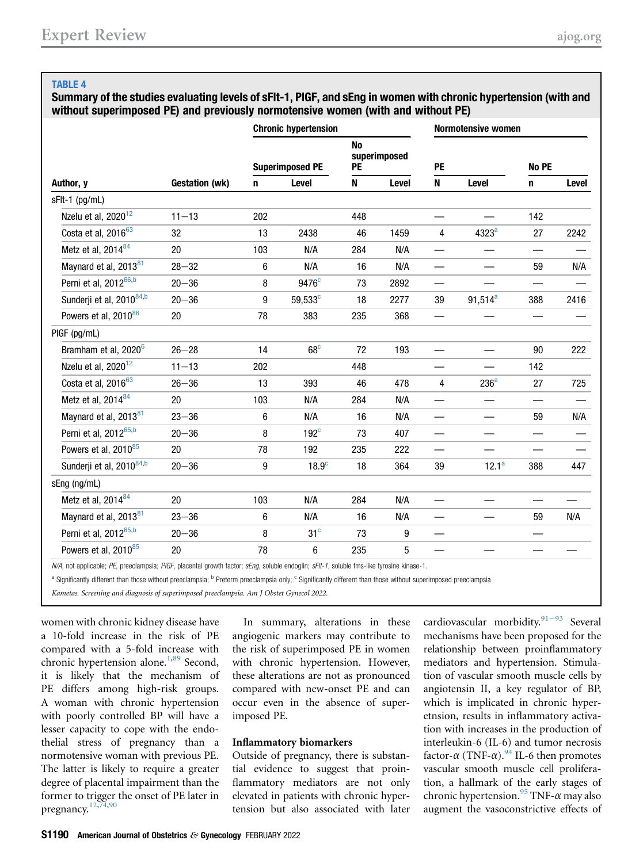#### <span id="page-8-0"></span>TABLE 4

Summary of the studies evaluating levels of sFlt-1, PlGF, and sEng in women with chronic hypertension (with and without superimposed PE) and previously normotensive women (with and without PE)

|                                      |                       | <b>Chronic hypertension</b> |                   |                 |              | <b>Normotensive women</b> |                   |                          |       |  |
|--------------------------------------|-----------------------|-----------------------------|-------------------|-----------------|--------------|---------------------------|-------------------|--------------------------|-------|--|
|                                      |                       | <b>Superimposed PE</b>      |                   | <b>No</b><br>PE | superimposed | PE                        |                   | No PE                    |       |  |
| Author, y                            | <b>Gestation (wk)</b> | n                           | Level             | N               | Level        | N                         | Level             | $\mathbf n$              | Level |  |
| sFlt-1 (pg/mL)                       |                       |                             |                   |                 |              |                           |                   |                          |       |  |
| Nzelu et al, 2020 <sup>12</sup>      | $11 - 13$             | 202                         |                   | 448             |              |                           |                   | 142                      |       |  |
| Costa et al, 2016 <sup>63</sup>      | 32                    | 13                          | 2438              | 46              | 1459         | 4                         | 4323 <sup>a</sup> | 27                       | 2242  |  |
| Metz et al, 2014 <sup>84</sup>       | 20                    | 103                         | N/A               | 284             | N/A          |                           |                   |                          |       |  |
| Maynard et al, 2013 <sup>81</sup>    | $28 - 32$             | 6                           | N/A               | 16              | N/A          |                           |                   | 59                       | N/A   |  |
| Perni et al, 2012 <sup>66,b</sup>    | $20 - 36$             | 8                           | 9476 <sup>c</sup> | 73              | 2892         |                           |                   | $\overline{\phantom{0}}$ |       |  |
| Sunderji et al, 2010 <sup>84,b</sup> | $20 - 36$             | 9                           | 59,533c           | 18              | 2277         | 39                        | $91,514^a$        | 388                      | 2416  |  |
| Powers et al, 2010 <sup>86</sup>     | 20                    | 78                          | 383               | 235             | 368          |                           |                   |                          |       |  |
| PIGF (pg/mL)                         |                       |                             |                   |                 |              |                           |                   |                          |       |  |
| Bramham et al, 2020 <sup>6</sup>     | $26 - 28$             | 14                          | 68 <sup>c</sup>   | 72              | 193          |                           |                   | $90\,$                   | 222   |  |
| Nzelu et al, 2020 <sup>12</sup>      | $11 - 13$             | 202                         |                   | 448             |              |                           |                   | 142                      |       |  |
| Costa et al, 2016 <sup>63</sup>      | $26 - 36$             | 13                          | 393               | 46              | 478          | 4                         | 236 <sup>a</sup>  | 27                       | 725   |  |
| Metz et al, 2014 <sup>84</sup>       | 20                    | 103                         | N/A               | 284             | N/A          |                           |                   | —                        |       |  |
| Maynard et al, 2013 <sup>81</sup>    | $23 - 36$             | 6                           | N/A               | 16              | N/A          |                           |                   | 59                       | N/A   |  |
| Perni et al, 2012 <sup>65,b</sup>    | $20 - 36$             | 8                           | 192 <sup>c</sup>  | 73              | 407          |                           |                   |                          |       |  |
| Powers et al, 2010 <sup>85</sup>     | 20                    | 78                          | 192               | 235             | 222          |                           |                   |                          |       |  |
| Sunderji et al, 2010 <sup>84,b</sup> | $20 - 36$             | 9                           | 18.9 <sup>c</sup> | 18              | 364          | 39                        | $12.1^a$          | 388                      | 447   |  |
| sEng (ng/mL)                         |                       |                             |                   |                 |              |                           |                   |                          |       |  |
| Metz et al, 2014 <sup>84</sup>       | 20                    | 103                         | N/A               | 284             | N/A          |                           |                   |                          |       |  |
| Maynard et al, 2013 <sup>81</sup>    | $23 - 36$             | 6                           | N/A               | 16              | N/A          |                           |                   | 59                       | N/A   |  |
| Perni et al, 2012 <sup>65,b</sup>    | $20 - 36$             | 8                           | 31 <sup>c</sup>   | 73              | 9            |                           |                   |                          |       |  |
| Powers et al, 2010 <sup>85</sup>     | 20                    | 78                          | 6                 | 235             | $\,$ 5 $\,$  |                           |                   |                          |       |  |

N/A, not applicable; PE, preeclampsia; PIGF, placental growth factor; sEng, soluble endoglin; sFIt-1, soluble fms-like tyrosine kinase-1.

<span id="page-8-1"></span>a Significantly different than those without preeclampsia; <sup>b</sup> Preterm preeclampsia only; <sup>c</sup> Significantly different than those without superimposed preeclampsia

Kametas. Screening and diagnosis of superimposed preeclampsia. Am J Obstet Gynecol 2022.

women with chronic kidney disease have a 10-fold increase in the risk of PE compared with a 5-fold increase with chronic hypertension alone.<sup>[1](#page-10-0),[89](#page-12-27)</sup> Second, it is likely that the mechanism of PE differs among high-risk groups. A woman with chronic hypertension with poorly controlled BP will have a lesser capacity to cope with the endothelial stress of pregnancy than a normotensive woman with previous PE. The latter is likely to require a greater degree of placental impairment than the former to trigger the onset of PE later in pregnancy. $12,74,90$  $12,74,90$  $12,74,90$ 

In summary, alterations in these angiogenic markers may contribute to the risk of superimposed PE in women with chronic hypertension. However, these alterations are not as pronounced compared with new-onset PE and can occur even in the absence of superimposed PE.

#### Inflammatory biomarkers

Outside of pregnancy, there is substantial evidence to suggest that proinflammatory mediators are not only elevated in patients with chronic hypertension but also associated with later cardiovascular morbidity. $91-93$  $91-93$  Several mechanisms have been proposed for the relationship between proinflammatory mediators and hypertension. Stimulation of vascular smooth muscle cells by angiotensin II, a key regulator of BP, which is implicated in chronic hyperetnsion, results in inflammatory activation with increases in the production of interleukin-6 (IL-6) and tumor necrosis factor- $\alpha$  (TNF- $\alpha$ ).<sup>[94](#page-12-30)</sup> IL-6 then promotes vascular smooth muscle cell proliferation, a hallmark of the early stages of chronic hypertension.<sup>[95](#page-12-31)</sup> TNF- $\alpha$  may also augment the vasoconstrictive effects of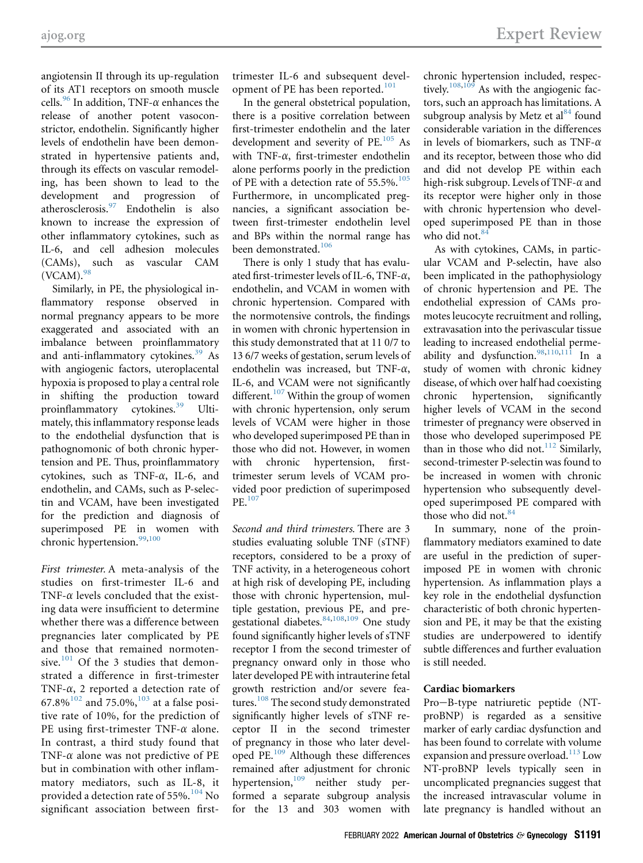angiotensin II through its up-regulation of its AT1 receptors on smooth muscle cells.<sup>96</sup> In addition, TNF- $\alpha$  enhances the release of another potent vasoconstrictor, endothelin. Significantly higher levels of endothelin have been demonstrated in hypertensive patients and, through its effects on vascular remodeling, has been shown to lead to the development and progression of atherosclerosis.[97](#page-12-34) Endothelin is also known to increase the expression of other inflammatory cytokines, such as IL-6, and cell adhesion molecules (CAMs), such as vascular CAM  $(VCAM).<sup>98</sup>$  $(VCAM).<sup>98</sup>$  $(VCAM).<sup>98</sup>$ 

Similarly, in PE, the physiological inflammatory response observed in normal pregnancy appears to be more exaggerated and associated with an imbalance between proinflammatory and anti-inflammatory cytokines.<sup>39</sup> As with angiogenic factors, uteroplacental hypoxia is proposed to play a central role in shifting the production toward proinflammatory cytokines.<sup>[39](#page-11-25)</sup> Ultimately, this inflammatory response leads to the endothelial dysfunction that is pathognomonic of both chronic hypertension and PE. Thus, proinflammatory cytokines, such as TNF- $\alpha$ , IL-6, and endothelin, and CAMs, such as P-selectin and VCAM, have been investigated for the prediction and diagnosis of superimposed PE in women with chronic hypertension.<sup>[99](#page-13-6)[,100](#page-13-7)</sup>

First trimester. A meta-analysis of the studies on first-trimester IL-6 and TNF- $\alpha$  levels concluded that the existing data were insufficient to determine whether there was a difference between pregnancies later complicated by PE and those that remained normoten-sive.<sup>[101](#page-13-8)</sup> Of the 3 studies that demonstrated a difference in first-trimester TNF- $\alpha$ , 2 reported a detection rate of  $67.8\%$ <sup>[102](#page-13-9)</sup> and 75.0%,<sup>[103](#page-13-10)</sup> at a false positive rate of 10%, for the prediction of PE using first-trimester TNF- $\alpha$  alone. In contrast, a third study found that TNF- $\alpha$  alone was not predictive of PE but in combination with other inflammatory mediators, such as IL-8, it provided a detection rate of 55%.<sup>[104](#page-13-11)</sup> No significant association between firsttrimester IL-6 and subsequent devel-opment of PE has been reported.<sup>[101](#page-13-8)</sup>

In the general obstetrical population, there is a positive correlation between first-trimester endothelin and the later development and severity of PE.<sup>[105](#page-13-12)</sup> As with TNF- $\alpha$ , first-trimester endothelin alone performs poorly in the prediction of PE with a detection rate of 55.5%.<sup>[105](#page-13-12)</sup> Furthermore, in uncomplicated pregnancies, a significant association between first-trimester endothelin level and BPs within the normal range has been demonstrated.<sup>[106](#page-13-13)</sup>

There is only 1 study that has evaluated first-trimester levels of IL-6, TNF- $\alpha$ , endothelin, and VCAM in women with chronic hypertension. Compared with the normotensive controls, the findings in women with chronic hypertension in this study demonstrated that at 11 0/7 to 13 6/7 weeks of gestation, serum levels of endothelin was increased, but TNF- $\alpha$ , IL-6, and VCAM were not significantly different. $107$  Within the group of women with chronic hypertension, only serum levels of VCAM were higher in those who developed superimposed PE than in those who did not. However, in women with chronic hypertension, firsttrimester serum levels of VCAM provided poor prediction of superimposed PE.[107](#page-13-14)

Second and third trimesters. There are 3 studies evaluating soluble TNF (sTNF) receptors, considered to be a proxy of TNF activity, in a heterogeneous cohort at high risk of developing PE, including those with chronic hypertension, multiple gestation, previous PE, and pregestational diabetes.  $84,108,109$  $84,108,109$  $84,108,109$  $84,108,109$  One study found significantly higher levels of sTNF receptor I from the second trimester of pregnancy onward only in those who later developed PE with intrauterine fetal growth restriction and/or severe features.<sup>108</sup> The second study demonstrated significantly higher levels of sTNF receptor II in the second trimester of pregnancy in those who later developed PE.[109](#page-13-16) Although these differences remained after adjustment for chronic hypertension,<sup>[109](#page-13-16)</sup> neither study performed a separate subgroup analysis for the 13 and 303 women with

chronic hypertension included, respec-tively.<sup>[108](#page-13-15),[109](#page-13-16)</sup> As with the angiogenic factors, such an approach has limitations. A subgroup analysis by Metz et  $al^{84}$  $al^{84}$  $al^{84}$  found considerable variation in the differences in levels of biomarkers, such as TNF- $\alpha$ and its receptor, between those who did and did not develop PE within each high-risk subgroup. Levels of TNF- $\alpha$  and its receptor were higher only in those with chronic hypertension who developed superimposed PE than in those who did not.<sup>84</sup>

As with cytokines, CAMs, in particular VCAM and P-selectin, have also been implicated in the pathophysiology of chronic hypertension and PE. The endothelial expression of CAMs promotes leucocyte recruitment and rolling, extravasation into the perivascular tissue leading to increased endothelial perme-ability and dysfunction.<sup>[98](#page-13-5)[,110,](#page-13-17)[111](#page-13-18)</sup> In a study of women with chronic kidney disease, of which over half had coexisting chronic hypertension, significantly higher levels of VCAM in the second trimester of pregnancy were observed in those who developed superimposed PE than in those who did not. $112$  Similarly, second-trimester P-selectin was found to be increased in women with chronic hypertension who subsequently developed superimposed PE compared with those who did not. $84$ 

In summary, none of the proinflammatory mediators examined to date are useful in the prediction of superimposed PE in women with chronic hypertension. As inflammation plays a key role in the endothelial dysfunction characteristic of both chronic hypertension and PE, it may be that the existing studies are underpowered to identify subtle differences and further evaluation is still needed.

#### Cardiac biomarkers

Pro-B-type natriuretic peptide (NTproBNP) is regarded as a sensitive marker of early cardiac dysfunction and has been found to correlate with volume expansion and pressure overload.<sup>[113](#page-13-20)</sup> Low NT-proBNP levels typically seen in uncomplicated pregnancies suggest that the increased intravascular volume in late pregnancy is handled without an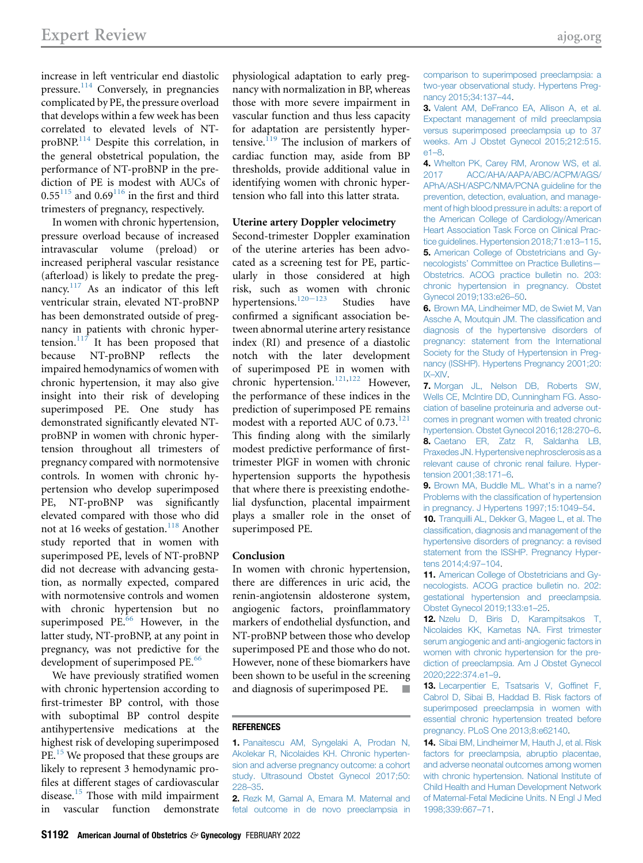increase in left ventricular end diastolic pressure.<sup>[114](#page-13-21)</sup> Conversely, in pregnancies complicated by PE, the pressure overload that develops within a few week has been correlated to elevated levels of NTproBNP.[114](#page-13-21) Despite this correlation, in the general obstetrical population, the performance of NT-proBNP in the prediction of PE is modest with AUCs of  $0.55^{115}$  $0.55^{115}$  $0.55^{115}$  and  $0.69^{116}$  $0.69^{116}$  $0.69^{116}$  in the first and third trimesters of pregnancy, respectively.

In women with chronic hypertension, pressure overload because of increased intravascular volume (preload) or increased peripheral vascular resistance (afterload) is likely to predate the pregnancy. $117$  As an indicator of this left ventricular strain, elevated NT-proBNP has been demonstrated outside of pregnancy in patients with chronic hypertension. $117$  It has been proposed that because NT-proBNP reflects the impaired hemodynamics of women with chronic hypertension, it may also give insight into their risk of developing superimposed PE. One study has demonstrated significantly elevated NTproBNP in women with chronic hypertension throughout all trimesters of pregnancy compared with normotensive controls. In women with chronic hypertension who develop superimposed PE, NT-proBNP was significantly elevated compared with those who did not at 16 weeks of gestation.<sup>[118](#page-13-25)</sup> Another study reported that in women with superimposed PE, levels of NT-proBNP did not decrease with advancing gestation, as normally expected, compared with normotensive controls and women with chronic hypertension but no superimposed PE $^{66}$  $^{66}$  $^{66}$  However, in the latter study, NT-proBNP, at any point in pregnancy, was not predictive for the development of superimposed PE.<sup>[66](#page-12-13)</sup>

We have previously stratified women with chronic hypertension according to first-trimester BP control, with those with suboptimal BP control despite antihypertensive medications at the highest risk of developing superimposed PE.<sup>[15](#page-11-0)</sup> We proposed that these groups are likely to represent 3 hemodynamic profiles at different stages of cardiovascular disease.<sup>[15](#page-11-0)</sup> Those with mild impairment in vascular function demonstrate

physiological adaptation to early pregnancy with normalization in BP, whereas those with more severe impairment in vascular function and thus less capacity for adaptation are persistently hyper-tensive.<sup>[119](#page-13-26)</sup> The inclusion of markers of cardiac function may, aside from BP thresholds, provide additional value in identifying women with chronic hypertension who fall into this latter strata.

#### Uterine artery Doppler velocimetry

Second-trimester Doppler examination of the uterine arteries has been advocated as a screening test for PE, particularly in those considered at high risk, such as women with chronic hypertensions.<sup>[120](#page-13-27)-123</sup> Studies have confirmed a significant association between abnormal uterine artery resistance index (RI) and presence of a diastolic notch with the later development of superimposed PE in women with chronic hypertension.<sup>[121](#page-13-28)[,122](#page-13-29)</sup> However, the performance of these indices in the prediction of superimposed PE remains modest with a reported AUC of  $0.73$ <sup>[121](#page-13-28)</sup> This finding along with the similarly modest predictive performance of firsttrimester PlGF in women with chronic hypertension supports the hypothesis that where there is preexisting endothelial dysfunction, placental impairment plays a smaller role in the onset of superimposed PE.

#### <span id="page-10-15"></span><span id="page-10-14"></span>Conclusion

In women with chronic hypertension, there are differences in uric acid, the renin-angiotensin aldosterone system, angiogenic factors, proinflammatory markers of endothelial dysfunction, and NT-proBNP between those who develop superimposed PE and those who do not. However, none of these biomarkers have been shown to be useful in the screening and diagnosis of superimposed PE. -

#### <span id="page-10-0"></span>**REFERENCES**

1. [Panaitescu AM, Syngelaki A, Prodan N,](http://refhub.elsevier.com/S0002-9378(20)31328-4/sref1) [Akolekar R, Nicolaides KH. Chronic hyperten](http://refhub.elsevier.com/S0002-9378(20)31328-4/sref1)[sion and adverse pregnancy outcome: a cohort](http://refhub.elsevier.com/S0002-9378(20)31328-4/sref1) [study. Ultrasound Obstet Gynecol 2017;50:](http://refhub.elsevier.com/S0002-9378(20)31328-4/sref1) [228](http://refhub.elsevier.com/S0002-9378(20)31328-4/sref1)–35.

<span id="page-10-1"></span>2. [Rezk M, Gamal A, Emara M. Maternal and](http://refhub.elsevier.com/S0002-9378(20)31328-4/sref2) [fetal outcome in de novo preeclampsia in](http://refhub.elsevier.com/S0002-9378(20)31328-4/sref2) [comparison to superimposed preeclampsia: a](http://refhub.elsevier.com/S0002-9378(20)31328-4/sref2) [two-year observational study. Hypertens Preg](http://refhub.elsevier.com/S0002-9378(20)31328-4/sref2)[nancy 2015;34:137](http://refhub.elsevier.com/S0002-9378(20)31328-4/sref2)–44.

<span id="page-10-2"></span>3. [Valent AM, DeFranco EA, Allison A, et al.](http://refhub.elsevier.com/S0002-9378(20)31328-4/sref3) [Expectant management of mild preeclampsia](http://refhub.elsevier.com/S0002-9378(20)31328-4/sref3) [versus superimposed preeclampsia up to 37](http://refhub.elsevier.com/S0002-9378(20)31328-4/sref3) [weeks. Am J Obstet Gynecol 2015;212:515.](http://refhub.elsevier.com/S0002-9378(20)31328-4/sref3) [e1](http://refhub.elsevier.com/S0002-9378(20)31328-4/sref3)–8.

<span id="page-10-3"></span>4. [Whelton PK, Carey RM, Aronow WS, et al.](http://refhub.elsevier.com/S0002-9378(20)31328-4/sref4) [2017 ACC/AHA/AAPA/ABC/ACPM/AGS/](http://refhub.elsevier.com/S0002-9378(20)31328-4/sref4) [APhA/ASH/ASPC/NMA/PCNA guideline for the](http://refhub.elsevier.com/S0002-9378(20)31328-4/sref4) [prevention, detection, evaluation, and manage](http://refhub.elsevier.com/S0002-9378(20)31328-4/sref4)[ment of high blood pressure in adults: a report of](http://refhub.elsevier.com/S0002-9378(20)31328-4/sref4) [the American College of Cardiology/American](http://refhub.elsevier.com/S0002-9378(20)31328-4/sref4) [Heart Association Task Force on Clinical Prac](http://refhub.elsevier.com/S0002-9378(20)31328-4/sref4)[tice guidelines. Hypertension 2018;71:e13](http://refhub.elsevier.com/S0002-9378(20)31328-4/sref4)–115. 5. [American College of Obstetricians and Gy](http://refhub.elsevier.com/S0002-9378(20)31328-4/sref5)necologists' [Committee on Practice Bulletins](http://refhub.elsevier.com/S0002-9378(20)31328-4/sref5)— [Obstetrics. ACOG practice bulletin no. 203:](http://refhub.elsevier.com/S0002-9378(20)31328-4/sref5) [chronic hypertension in pregnancy. Obstet](http://refhub.elsevier.com/S0002-9378(20)31328-4/sref5) [Gynecol 2019;133:e26](http://refhub.elsevier.com/S0002-9378(20)31328-4/sref5)–50.

<span id="page-10-5"></span><span id="page-10-4"></span>6. [Brown MA, Lindheimer MD, de Swiet M, Van](http://refhub.elsevier.com/S0002-9378(20)31328-4/sref6) [Assche A, Moutquin JM. The classi](http://refhub.elsevier.com/S0002-9378(20)31328-4/sref6)fication and [diagnosis of the hypertensive disorders of](http://refhub.elsevier.com/S0002-9378(20)31328-4/sref6) [pregnancy: statement from the International](http://refhub.elsevier.com/S0002-9378(20)31328-4/sref6) [Society for the Study of Hypertension in Preg](http://refhub.elsevier.com/S0002-9378(20)31328-4/sref6)[nancy \(ISSHP\). Hypertens Pregnancy 2001;20:](http://refhub.elsevier.com/S0002-9378(20)31328-4/sref6) IX–[XIV.](http://refhub.elsevier.com/S0002-9378(20)31328-4/sref6)

<span id="page-10-6"></span>7. [Morgan JL, Nelson DB, Roberts SW,](http://refhub.elsevier.com/S0002-9378(20)31328-4/sref7) [Wells CE, McIntire DD, Cunningham FG. Asso](http://refhub.elsevier.com/S0002-9378(20)31328-4/sref7)[ciation of baseline proteinuria and adverse out](http://refhub.elsevier.com/S0002-9378(20)31328-4/sref7)[comes in pregnant women with treated chronic](http://refhub.elsevier.com/S0002-9378(20)31328-4/sref7) [hypertension. Obstet Gynecol 2016;128:270](http://refhub.elsevier.com/S0002-9378(20)31328-4/sref7)–6. 8. [Caetano ER, Zatz R, Saldanha LB,](http://refhub.elsevier.com/S0002-9378(20)31328-4/sref8) [Praxedes JN. Hypertensive nephrosclerosis as a](http://refhub.elsevier.com/S0002-9378(20)31328-4/sref8) [relevant cause of chronic renal failure. Hyper](http://refhub.elsevier.com/S0002-9378(20)31328-4/sref8)[tension 2001;38:171](http://refhub.elsevier.com/S0002-9378(20)31328-4/sref8)–6.

<span id="page-10-8"></span><span id="page-10-7"></span>9. [Brown MA, Buddle ML. What](http://refhub.elsevier.com/S0002-9378(20)31328-4/sref9)'s in a name? [Problems with the classi](http://refhub.elsevier.com/S0002-9378(20)31328-4/sref9)fication of hypertension [in pregnancy. J Hypertens 1997;15:1049](http://refhub.elsevier.com/S0002-9378(20)31328-4/sref9)–54.

<span id="page-10-9"></span>10. [Tranquilli AL, Dekker G, Magee L, et al. The](http://refhub.elsevier.com/S0002-9378(20)31328-4/sref10) classifi[cation, diagnosis and management of the](http://refhub.elsevier.com/S0002-9378(20)31328-4/sref10) [hypertensive disorders of pregnancy: a revised](http://refhub.elsevier.com/S0002-9378(20)31328-4/sref10) [statement from the ISSHP. Pregnancy Hyper](http://refhub.elsevier.com/S0002-9378(20)31328-4/sref10)[tens 2014;4:97](http://refhub.elsevier.com/S0002-9378(20)31328-4/sref10)–104.

<span id="page-10-10"></span>11. [American College of Obstetricians and Gy](http://refhub.elsevier.com/S0002-9378(20)31328-4/sref11)[necologists. ACOG practice bulletin no. 202:](http://refhub.elsevier.com/S0002-9378(20)31328-4/sref11) [gestational hypertension and preeclampsia.](http://refhub.elsevier.com/S0002-9378(20)31328-4/sref11) [Obstet Gynecol 2019;133:e1](http://refhub.elsevier.com/S0002-9378(20)31328-4/sref11)–25.

<span id="page-10-11"></span>12. Nzelu D. Biris D. Karampitsakos T. [Nicolaides KK, Kametas NA. First trimester](http://refhub.elsevier.com/S0002-9378(20)31328-4/sref12) [serum angiogenic and anti-angiogenic factors in](http://refhub.elsevier.com/S0002-9378(20)31328-4/sref12) [women with chronic hypertension for the pre](http://refhub.elsevier.com/S0002-9378(20)31328-4/sref12)[diction of preeclampsia. Am J Obstet Gynecol](http://refhub.elsevier.com/S0002-9378(20)31328-4/sref12) [2020;222:374.e1](http://refhub.elsevier.com/S0002-9378(20)31328-4/sref12)–9.

<span id="page-10-12"></span>13. [Lecarpentier E, Tsatsaris V, Gof](http://refhub.elsevier.com/S0002-9378(20)31328-4/sref13)finet F, [Cabrol D, Sibai B, Haddad B. Risk factors of](http://refhub.elsevier.com/S0002-9378(20)31328-4/sref13) [superimposed preeclampsia in women with](http://refhub.elsevier.com/S0002-9378(20)31328-4/sref13) [essential chronic hypertension treated before](http://refhub.elsevier.com/S0002-9378(20)31328-4/sref13) [pregnancy. PLoS One 2013;8:e62140.](http://refhub.elsevier.com/S0002-9378(20)31328-4/sref13)

<span id="page-10-13"></span>14. [Sibai BM, Lindheimer M, Hauth J, et al. Risk](http://refhub.elsevier.com/S0002-9378(20)31328-4/sref14) [factors for preeclampsia, abruptio placentae,](http://refhub.elsevier.com/S0002-9378(20)31328-4/sref14) [and adverse neonatal outcomes among women](http://refhub.elsevier.com/S0002-9378(20)31328-4/sref14) [with chronic hypertension. National Institute of](http://refhub.elsevier.com/S0002-9378(20)31328-4/sref14) [Child Health and Human Development Network](http://refhub.elsevier.com/S0002-9378(20)31328-4/sref14) [of Maternal-Fetal Medicine Units. N Engl J Med](http://refhub.elsevier.com/S0002-9378(20)31328-4/sref14) [1998;339:667](http://refhub.elsevier.com/S0002-9378(20)31328-4/sref14)–71.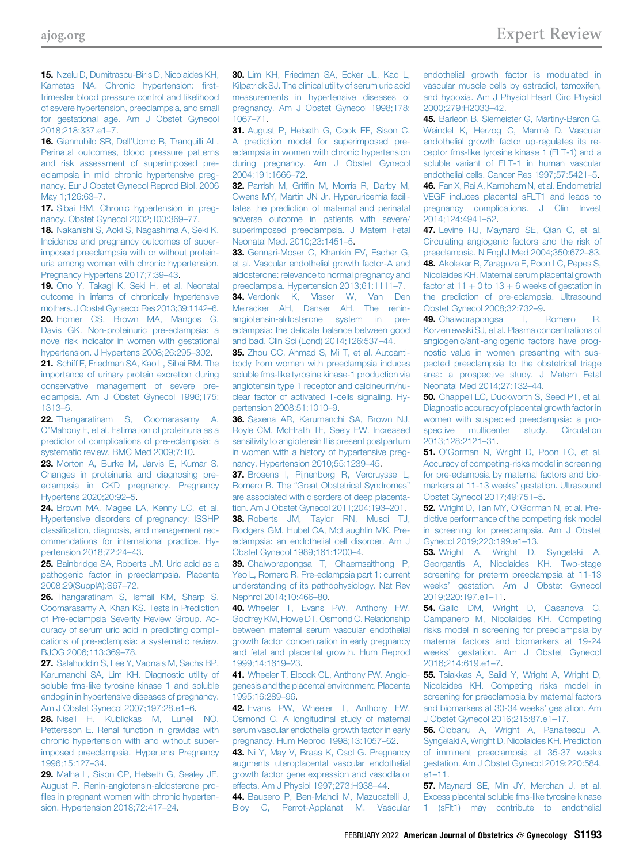<span id="page-11-0"></span>15. [Nzelu D, Dumitrascu-Biris D, Nicolaides KH,](http://refhub.elsevier.com/S0002-9378(20)31328-4/sref15) [Kametas NA. Chronic hypertension:](http://refhub.elsevier.com/S0002-9378(20)31328-4/sref15) first[trimester blood pressure control and likelihood](http://refhub.elsevier.com/S0002-9378(20)31328-4/sref15) [of severe hypertension, preeclampsia, and small](http://refhub.elsevier.com/S0002-9378(20)31328-4/sref15) [for gestational age. Am J Obstet Gynecol](http://refhub.elsevier.com/S0002-9378(20)31328-4/sref15) [2018;218:337.e1](http://refhub.elsevier.com/S0002-9378(20)31328-4/sref15)–7.

<span id="page-11-1"></span>16. Giannubilo SR, Dell'[Uomo B, Tranquilli AL.](http://refhub.elsevier.com/S0002-9378(20)31328-4/sref16) [Perinatal outcomes, blood pressure patterns](http://refhub.elsevier.com/S0002-9378(20)31328-4/sref16) [and risk assessment of superimposed pre](http://refhub.elsevier.com/S0002-9378(20)31328-4/sref16)[eclampsia in mild chronic hypertensive preg](http://refhub.elsevier.com/S0002-9378(20)31328-4/sref16)[nancy. Eur J Obstet Gynecol Reprod Biol. 2006](http://refhub.elsevier.com/S0002-9378(20)31328-4/sref16) [May 1;126:63](http://refhub.elsevier.com/S0002-9378(20)31328-4/sref16)–7.

<span id="page-11-2"></span>17. [Sibai BM. Chronic hypertension in preg](http://refhub.elsevier.com/S0002-9378(20)31328-4/sref17)[nancy. Obstet Gynecol 2002;100:369](http://refhub.elsevier.com/S0002-9378(20)31328-4/sref17)–77.

<span id="page-11-3"></span>18. [Nakanishi S, Aoki S, Nagashima A, Seki K.](http://refhub.elsevier.com/S0002-9378(20)31328-4/sref18) [Incidence and pregnancy outcomes of super](http://refhub.elsevier.com/S0002-9378(20)31328-4/sref18)[imposed preeclampsia with or without protein](http://refhub.elsevier.com/S0002-9378(20)31328-4/sref18)[uria among women with chronic hypertension.](http://refhub.elsevier.com/S0002-9378(20)31328-4/sref18) [Pregnancy Hypertens 2017;7:39](http://refhub.elsevier.com/S0002-9378(20)31328-4/sref18)–43.

<span id="page-11-5"></span><span id="page-11-4"></span>19. [Ono Y, Takagi K, Seki H, et al. Neonatal](http://refhub.elsevier.com/S0002-9378(20)31328-4/sref19) [outcome in infants of chronically hypertensive](http://refhub.elsevier.com/S0002-9378(20)31328-4/sref19) [mothers. J Obstet Gynaecol Res 2013;39:1142](http://refhub.elsevier.com/S0002-9378(20)31328-4/sref19)–6. 20. [Homer CS, Brown MA, Mangos G,](http://refhub.elsevier.com/S0002-9378(20)31328-4/sref20) [Davis GK. Non-proteinuric pre-eclampsia: a](http://refhub.elsevier.com/S0002-9378(20)31328-4/sref20) [novel risk indicator in women with gestational](http://refhub.elsevier.com/S0002-9378(20)31328-4/sref20) [hypertension. J Hypertens 2008;26:295](http://refhub.elsevier.com/S0002-9378(20)31328-4/sref20)–302.

<span id="page-11-6"></span>21. [Schiff E, Friedman SA, Kao L, Sibai BM. The](http://refhub.elsevier.com/S0002-9378(20)31328-4/sref21) [importance of urinary protein excretion during](http://refhub.elsevier.com/S0002-9378(20)31328-4/sref21) [conservative management of severe pre](http://refhub.elsevier.com/S0002-9378(20)31328-4/sref21)[eclampsia. Am J Obstet Gynecol 1996;175:](http://refhub.elsevier.com/S0002-9378(20)31328-4/sref21) [1313](http://refhub.elsevier.com/S0002-9378(20)31328-4/sref21)–6.

<span id="page-11-7"></span>22. [Thangaratinam S, Coomarasamy A,](http://refhub.elsevier.com/S0002-9378(20)31328-4/sref22) O'[Mahony F, et al. Estimation of proteinuria as a](http://refhub.elsevier.com/S0002-9378(20)31328-4/sref22) [predictor of complications of pre-eclampsia: a](http://refhub.elsevier.com/S0002-9378(20)31328-4/sref22) [systematic review. BMC Med 2009;7:10.](http://refhub.elsevier.com/S0002-9378(20)31328-4/sref22)

<span id="page-11-13"></span>23. [Morton A, Burke M, Jarvis E, Kumar S.](http://refhub.elsevier.com/S0002-9378(20)31328-4/sref23) [Changes in proteinuria and diagnosing pre](http://refhub.elsevier.com/S0002-9378(20)31328-4/sref23)[eclampsia in CKD pregnancy. Pregnancy](http://refhub.elsevier.com/S0002-9378(20)31328-4/sref23) [Hypertens 2020;20:92](http://refhub.elsevier.com/S0002-9378(20)31328-4/sref23)–5.

<span id="page-11-14"></span>24. [Brown MA, Magee LA, Kenny LC, et al.](http://refhub.elsevier.com/S0002-9378(20)31328-4/sref24) [Hypertensive disorders of pregnancy: ISSHP](http://refhub.elsevier.com/S0002-9378(20)31328-4/sref24) classifi[cation, diagnosis, and management rec](http://refhub.elsevier.com/S0002-9378(20)31328-4/sref24)[ommendations for international practice. Hy](http://refhub.elsevier.com/S0002-9378(20)31328-4/sref24)[pertension 2018;72:24](http://refhub.elsevier.com/S0002-9378(20)31328-4/sref24)–43.

<span id="page-11-15"></span>25. [Bainbridge SA, Roberts JM. Uric acid as a](http://refhub.elsevier.com/S0002-9378(20)31328-4/sref25) [pathogenic factor in preeclampsia. Placenta](http://refhub.elsevier.com/S0002-9378(20)31328-4/sref25) [2008;29\(SupplA\):S67](http://refhub.elsevier.com/S0002-9378(20)31328-4/sref25)–72.

<span id="page-11-16"></span>26. [Thangaratinam S, Ismail KM, Sharp S,](http://refhub.elsevier.com/S0002-9378(20)31328-4/sref26) [Coomarasamy A, Khan KS. Tests in Prediction](http://refhub.elsevier.com/S0002-9378(20)31328-4/sref26) [of Pre-eclampsia Severity Review Group. Ac](http://refhub.elsevier.com/S0002-9378(20)31328-4/sref26)[curacy of serum uric acid in predicting compli](http://refhub.elsevier.com/S0002-9378(20)31328-4/sref26)[cations of pre-eclampsia: a systematic review.](http://refhub.elsevier.com/S0002-9378(20)31328-4/sref26) [BJOG 2006;113:369](http://refhub.elsevier.com/S0002-9378(20)31328-4/sref26)–78.

<span id="page-11-17"></span>27. [Salahuddin S, Lee Y, Vadnais M, Sachs BP,](http://refhub.elsevier.com/S0002-9378(20)31328-4/sref27) [Karumanchi SA, Lim KH. Diagnostic utility of](http://refhub.elsevier.com/S0002-9378(20)31328-4/sref27) [soluble fms-like tyrosine kinase 1 and soluble](http://refhub.elsevier.com/S0002-9378(20)31328-4/sref27) [endoglin in hypertensive diseases of pregnancy.](http://refhub.elsevier.com/S0002-9378(20)31328-4/sref27) [Am J Obstet Gynecol 2007;197:28.e1](http://refhub.elsevier.com/S0002-9378(20)31328-4/sref27)–6.

<span id="page-11-19"></span>28. [Nisell H, Kublickas M, Lunell NO,](http://refhub.elsevier.com/S0002-9378(20)31328-4/sref28) [Pettersson E. Renal function in gravidas with](http://refhub.elsevier.com/S0002-9378(20)31328-4/sref28) [chronic hypertension with and without super](http://refhub.elsevier.com/S0002-9378(20)31328-4/sref28)[imposed preeclampsia. Hypertens Pregnancy](http://refhub.elsevier.com/S0002-9378(20)31328-4/sref28) [1996;15:127](http://refhub.elsevier.com/S0002-9378(20)31328-4/sref28)–34.

<span id="page-11-20"></span>29. [Malha L, Sison CP, Helseth G, Sealey JE,](http://refhub.elsevier.com/S0002-9378(20)31328-4/sref29) [August P. Renin-angiotensin-aldosterone pro](http://refhub.elsevier.com/S0002-9378(20)31328-4/sref29)fi[les in pregnant women with chronic hyperten](http://refhub.elsevier.com/S0002-9378(20)31328-4/sref29)[sion. Hypertension 2018;72:417](http://refhub.elsevier.com/S0002-9378(20)31328-4/sref29)–24.

<span id="page-11-10"></span>30. [Lim KH, Friedman SA, Ecker JL, Kao L,](http://refhub.elsevier.com/S0002-9378(20)31328-4/sref30) [Kilpatrick SJ. The clinical utility of serum uric acid](http://refhub.elsevier.com/S0002-9378(20)31328-4/sref30) [measurements in hypertensive diseases of](http://refhub.elsevier.com/S0002-9378(20)31328-4/sref30) [pregnancy. Am J Obstet Gynecol 1998;178:](http://refhub.elsevier.com/S0002-9378(20)31328-4/sref30) [1067](http://refhub.elsevier.com/S0002-9378(20)31328-4/sref30)–71.

<span id="page-11-21"></span>31. [August P, Helseth G, Cook EF, Sison C.](http://refhub.elsevier.com/S0002-9378(20)31328-4/sref31) [A prediction model for superimposed pre](http://refhub.elsevier.com/S0002-9378(20)31328-4/sref31)[eclampsia in women with chronic hypertension](http://refhub.elsevier.com/S0002-9378(20)31328-4/sref31) [during pregnancy. Am J Obstet Gynecol](http://refhub.elsevier.com/S0002-9378(20)31328-4/sref31) [2004;191:1666](http://refhub.elsevier.com/S0002-9378(20)31328-4/sref31)–72.

32. Parrish M, Griffi[n M, Morris R, Darby M,](http://refhub.elsevier.com/S0002-9378(20)31328-4/sref32) [Owens MY, Martin JN Jr. Hyperuricemia facili](http://refhub.elsevier.com/S0002-9378(20)31328-4/sref32)[tates the prediction of maternal and perinatal](http://refhub.elsevier.com/S0002-9378(20)31328-4/sref32) [adverse outcome in patients with severe/](http://refhub.elsevier.com/S0002-9378(20)31328-4/sref32) [superimposed preeclampsia. J Matern Fetal](http://refhub.elsevier.com/S0002-9378(20)31328-4/sref32) [Neonatal Med. 2010;23:1451](http://refhub.elsevier.com/S0002-9378(20)31328-4/sref32)–5.

<span id="page-11-22"></span>33. [Gennari-Moser C, Khankin EV, Escher G,](http://refhub.elsevier.com/S0002-9378(20)31328-4/sref33) [et al. Vascular endothelial growth factor-A and](http://refhub.elsevier.com/S0002-9378(20)31328-4/sref33) [aldosterone: relevance to normal pregnancy and](http://refhub.elsevier.com/S0002-9378(20)31328-4/sref33) [preeclampsia. Hypertension 2013;61:1111](http://refhub.elsevier.com/S0002-9378(20)31328-4/sref33)–7.

<span id="page-11-18"></span>34. [Verdonk K, Visser W, Van Den](http://refhub.elsevier.com/S0002-9378(20)31328-4/sref34) [Meiracker AH, Danser AH. The renin](http://refhub.elsevier.com/S0002-9378(20)31328-4/sref34)[angiotensin-aldosterone system in pre](http://refhub.elsevier.com/S0002-9378(20)31328-4/sref34)[eclampsia: the delicate balance between good](http://refhub.elsevier.com/S0002-9378(20)31328-4/sref34) [and bad. Clin Sci \(Lond\) 2014;126:537](http://refhub.elsevier.com/S0002-9378(20)31328-4/sref34)–44.

35. [Zhou CC, Ahmad S, Mi T, et al. Autoanti](http://refhub.elsevier.com/S0002-9378(20)31328-4/sref35)[body from women with preeclampsia induces](http://refhub.elsevier.com/S0002-9378(20)31328-4/sref35) [soluble fms-like tyrosine kinase-1 production via](http://refhub.elsevier.com/S0002-9378(20)31328-4/sref35) [angiotensin type 1 receptor and calcineurin/nu](http://refhub.elsevier.com/S0002-9378(20)31328-4/sref35)[clear factor of activated T-cells signaling. Hy](http://refhub.elsevier.com/S0002-9378(20)31328-4/sref35)[pertension 2008;51:1010](http://refhub.elsevier.com/S0002-9378(20)31328-4/sref35)–9.

36. [Saxena AR, Karumanchi SA, Brown NJ,](http://refhub.elsevier.com/S0002-9378(20)31328-4/sref36) [Royle CM, McElrath TF, Seely EW. Increased](http://refhub.elsevier.com/S0002-9378(20)31328-4/sref36) [sensitivity to angiotensin II is present postpartum](http://refhub.elsevier.com/S0002-9378(20)31328-4/sref36) [in women with a history of hypertensive preg](http://refhub.elsevier.com/S0002-9378(20)31328-4/sref36)[nancy. Hypertension 2010;55:1239](http://refhub.elsevier.com/S0002-9378(20)31328-4/sref36)–45.

<span id="page-11-24"></span><span id="page-11-23"></span>37. [Brosens I, Pijnenborg R, Vercruysse L,](http://refhub.elsevier.com/S0002-9378(20)31328-4/sref37) Romero R. The "[Great Obstetrical Syndromes](http://refhub.elsevier.com/S0002-9378(20)31328-4/sref37)" [are associated with disorders of deep placenta](http://refhub.elsevier.com/S0002-9378(20)31328-4/sref37)[tion. Am J Obstet Gynecol 2011;204:193](http://refhub.elsevier.com/S0002-9378(20)31328-4/sref37)–201. 38. [Roberts JM, Taylor RN, Musci TJ,](http://refhub.elsevier.com/S0002-9378(20)31328-4/sref38) [Rodgers GM, Hubel CA, McLaughlin MK. Pre](http://refhub.elsevier.com/S0002-9378(20)31328-4/sref38)[eclampsia: an endothelial cell disorder. Am J](http://refhub.elsevier.com/S0002-9378(20)31328-4/sref38) [Obstet Gynecol 1989;161:1200](http://refhub.elsevier.com/S0002-9378(20)31328-4/sref38)–4.

<span id="page-11-25"></span>39. [Chaiworapongsa T, Chaemsaithong P,](http://refhub.elsevier.com/S0002-9378(20)31328-4/sref39) [Yeo L, Romero R. Pre-eclampsia part 1: current](http://refhub.elsevier.com/S0002-9378(20)31328-4/sref39) [understanding of its pathophysiology. Nat Rev](http://refhub.elsevier.com/S0002-9378(20)31328-4/sref39) [Nephrol 2014;10:466](http://refhub.elsevier.com/S0002-9378(20)31328-4/sref39)–80.

<span id="page-11-26"></span>40. [Wheeler T, Evans PW, Anthony FW,](http://refhub.elsevier.com/S0002-9378(20)31328-4/sref40) [Godfrey KM, Howe DT, Osmond C. Relationship](http://refhub.elsevier.com/S0002-9378(20)31328-4/sref40) [between maternal serum vascular endothelial](http://refhub.elsevier.com/S0002-9378(20)31328-4/sref40) [growth factor concentration in early pregnancy](http://refhub.elsevier.com/S0002-9378(20)31328-4/sref40) [and fetal and placental growth. Hum Reprod](http://refhub.elsevier.com/S0002-9378(20)31328-4/sref40) [1999;14:1619](http://refhub.elsevier.com/S0002-9378(20)31328-4/sref40)–23.

41. [Wheeler T, Elcock CL, Anthony FW. Angio](http://refhub.elsevier.com/S0002-9378(20)31328-4/sref41)[genesis and the placental environment. Placenta](http://refhub.elsevier.com/S0002-9378(20)31328-4/sref41) [1995;16:289](http://refhub.elsevier.com/S0002-9378(20)31328-4/sref41)–96.

42. [Evans PW, Wheeler T, Anthony FW,](http://refhub.elsevier.com/S0002-9378(20)31328-4/sref42) [Osmond C. A longitudinal study of maternal](http://refhub.elsevier.com/S0002-9378(20)31328-4/sref42) [serum vascular endothelial growth factor in early](http://refhub.elsevier.com/S0002-9378(20)31328-4/sref42) [pregnancy. Hum Reprod 1998;13:1057](http://refhub.elsevier.com/S0002-9378(20)31328-4/sref42)–62.

<span id="page-11-27"></span>43. [Ni Y, May V, Braas K, Osol G. Pregnancy](http://refhub.elsevier.com/S0002-9378(20)31328-4/sref43) [augments uteroplacental vascular endothelial](http://refhub.elsevier.com/S0002-9378(20)31328-4/sref43) [growth factor gene expression and vasodilator](http://refhub.elsevier.com/S0002-9378(20)31328-4/sref43) [effects. Am J Physiol 1997;273:H938](http://refhub.elsevier.com/S0002-9378(20)31328-4/sref43)–44.

<span id="page-11-28"></span>44. [Bausero P, Ben-Mahdi M, Mazucatelli J,](http://refhub.elsevier.com/S0002-9378(20)31328-4/sref44) [Bloy C, Perrot-Applanat M. Vascular](http://refhub.elsevier.com/S0002-9378(20)31328-4/sref44) <span id="page-11-8"></span>[endothelial growth factor is modulated in](http://refhub.elsevier.com/S0002-9378(20)31328-4/sref44) [vascular muscle cells by estradiol, tamoxifen,](http://refhub.elsevier.com/S0002-9378(20)31328-4/sref44) [and hypoxia. Am J Physiol Heart Circ Physiol](http://refhub.elsevier.com/S0002-9378(20)31328-4/sref44) [2000;279:H2033](http://refhub.elsevier.com/S0002-9378(20)31328-4/sref44)–42.

<span id="page-11-29"></span>45. [Barleon B, Siemeister G, Martiny-Baron G,](http://refhub.elsevier.com/S0002-9378(20)31328-4/sref45) [Weindel K, Herzog C, Marmé D. Vascular](http://refhub.elsevier.com/S0002-9378(20)31328-4/sref45) [endothelial growth factor up-regulates its re](http://refhub.elsevier.com/S0002-9378(20)31328-4/sref45)[ceptor fms-like tyrosine kinase 1 \(FLT-1\) and a](http://refhub.elsevier.com/S0002-9378(20)31328-4/sref45) [soluble variant of FLT-1 in human vascular](http://refhub.elsevier.com/S0002-9378(20)31328-4/sref45) [endothelial cells. Cancer Res 1997;57:5421](http://refhub.elsevier.com/S0002-9378(20)31328-4/sref45)–5.

<span id="page-11-30"></span>46. [Fan X, Rai A, Kambham N, et al. Endometrial](http://refhub.elsevier.com/S0002-9378(20)31328-4/sref46) [VEGF induces placental sFLT1 and leads to](http://refhub.elsevier.com/S0002-9378(20)31328-4/sref46) [pregnancy complications. J Clin Invest](http://refhub.elsevier.com/S0002-9378(20)31328-4/sref46) [2014;124:4941](http://refhub.elsevier.com/S0002-9378(20)31328-4/sref46)–52.

<span id="page-11-32"></span><span id="page-11-31"></span><span id="page-11-12"></span><span id="page-11-11"></span><span id="page-11-9"></span>47. [Levine RJ, Maynard SE, Qian C, et al.](http://refhub.elsevier.com/S0002-9378(20)31328-4/sref47) [Circulating angiogenic factors and the risk of](http://refhub.elsevier.com/S0002-9378(20)31328-4/sref47) [preeclampsia. N Engl J Med 2004;350:672](http://refhub.elsevier.com/S0002-9378(20)31328-4/sref47)–83. 48. [Akolekar R, Zaragoza E, Poon LC, Pepes S,](http://refhub.elsevier.com/S0002-9378(20)31328-4/sref48) [Nicolaides KH. Maternal serum placental growth](http://refhub.elsevier.com/S0002-9378(20)31328-4/sref48) factor at  $11 + 0$  to  $13 + 6$  weeks of gestation in [the prediction of pre-eclampsia. Ultrasound](http://refhub.elsevier.com/S0002-9378(20)31328-4/sref48) [Obstet Gynecol 2008;32:732](http://refhub.elsevier.com/S0002-9378(20)31328-4/sref48)–9.

49. [Chaiworapongsa T, Romero R,](http://refhub.elsevier.com/S0002-9378(20)31328-4/sref49) [Korzeniewski SJ, et al. Plasma concentrations of](http://refhub.elsevier.com/S0002-9378(20)31328-4/sref49) [angiogenic/anti-angiogenic factors have prog](http://refhub.elsevier.com/S0002-9378(20)31328-4/sref49)[nostic value in women presenting with sus](http://refhub.elsevier.com/S0002-9378(20)31328-4/sref49)[pected preeclampsia to the obstetrical triage](http://refhub.elsevier.com/S0002-9378(20)31328-4/sref49) [area: a prospective study. J Matern Fetal](http://refhub.elsevier.com/S0002-9378(20)31328-4/sref49) [Neonatal Med 2014;27:132](http://refhub.elsevier.com/S0002-9378(20)31328-4/sref49)–44.

50. [Chappell LC, Duckworth S, Seed PT, et al.](http://refhub.elsevier.com/S0002-9378(20)31328-4/sref50) [Diagnostic accuracy of placental growth factor in](http://refhub.elsevier.com/S0002-9378(20)31328-4/sref50) [women with suspected preeclampsia: a pro](http://refhub.elsevier.com/S0002-9378(20)31328-4/sref50)[spective multicenter study. Circulation](http://refhub.elsevier.com/S0002-9378(20)31328-4/sref50) [2013;128:2121](http://refhub.elsevier.com/S0002-9378(20)31328-4/sref50)–31.

<span id="page-11-33"></span>51. O'[Gorman N, Wright D, Poon LC, et al.](http://refhub.elsevier.com/S0002-9378(20)31328-4/sref51) [Accuracy of competing-risks model in screening](http://refhub.elsevier.com/S0002-9378(20)31328-4/sref51) [for pre-eclampsia by maternal factors and bio](http://refhub.elsevier.com/S0002-9378(20)31328-4/sref51)[markers at 11-13 weeks](http://refhub.elsevier.com/S0002-9378(20)31328-4/sref51)' gestation. Ultrasound [Obstet Gynecol 2017;49:751](http://refhub.elsevier.com/S0002-9378(20)31328-4/sref51)–5.

52. Wright D, Tan MY, O'[Gorman N, et al. Pre](http://refhub.elsevier.com/S0002-9378(20)31328-4/sref52)[dictive performance of the competing risk model](http://refhub.elsevier.com/S0002-9378(20)31328-4/sref52) [in screening for preeclampsia. Am J Obstet](http://refhub.elsevier.com/S0002-9378(20)31328-4/sref52) [Gynecol 2019;220:199.e1](http://refhub.elsevier.com/S0002-9378(20)31328-4/sref52)–13.

53. [Wright A, Wright D, Syngelaki A,](http://refhub.elsevier.com/S0002-9378(20)31328-4/sref53) [Georgantis A, Nicolaides KH. Two-stage](http://refhub.elsevier.com/S0002-9378(20)31328-4/sref53) [screening for preterm preeclampsia at 11-13](http://refhub.elsevier.com/S0002-9378(20)31328-4/sref53) weeks' [gestation. Am J Obstet Gynecol](http://refhub.elsevier.com/S0002-9378(20)31328-4/sref53) [2019;220:197.e1](http://refhub.elsevier.com/S0002-9378(20)31328-4/sref53)–11.

54. [Gallo DM, Wright D, Casanova C,](http://refhub.elsevier.com/S0002-9378(20)31328-4/sref54) [Campanero M, Nicolaides KH. Competing](http://refhub.elsevier.com/S0002-9378(20)31328-4/sref54) [risks model in screening for preeclampsia by](http://refhub.elsevier.com/S0002-9378(20)31328-4/sref54) [maternal factors and biomarkers at 19-24](http://refhub.elsevier.com/S0002-9378(20)31328-4/sref54) weeks' [gestation. Am J Obstet Gynecol](http://refhub.elsevier.com/S0002-9378(20)31328-4/sref54) [2016;214:619.e1](http://refhub.elsevier.com/S0002-9378(20)31328-4/sref54)–7.

55. [Tsiakkas A, Saiid Y, Wright A, Wright D,](http://refhub.elsevier.com/S0002-9378(20)31328-4/sref55) [Nicolaides KH. Competing risks model in](http://refhub.elsevier.com/S0002-9378(20)31328-4/sref55) [screening for preeclampsia by maternal factors](http://refhub.elsevier.com/S0002-9378(20)31328-4/sref55) [and biomarkers at 30-34 weeks](http://refhub.elsevier.com/S0002-9378(20)31328-4/sref55)' gestation. Am [J Obstet Gynecol 2016;215:87.e1](http://refhub.elsevier.com/S0002-9378(20)31328-4/sref55)–17.

56. [Ciobanu A, Wright A, Panaitescu A,](http://refhub.elsevier.com/S0002-9378(20)31328-4/sref56) [Syngelaki A, Wright D, Nicolaides KH. Prediction](http://refhub.elsevier.com/S0002-9378(20)31328-4/sref56) [of imminent preeclampsia at 35-37 weeks](http://refhub.elsevier.com/S0002-9378(20)31328-4/sref56) [gestation. Am J Obstet Gynecol 2019;220:584.](http://refhub.elsevier.com/S0002-9378(20)31328-4/sref56) e1–[11.](http://refhub.elsevier.com/S0002-9378(20)31328-4/sref56)

57. [Maynard SE, Min JY, Merchan J, et al.](http://refhub.elsevier.com/S0002-9378(20)31328-4/sref57) [Excess placental soluble fms-like tyrosine kinase](http://refhub.elsevier.com/S0002-9378(20)31328-4/sref57) [1 \(sFlt1\) may contribute to endothelial](http://refhub.elsevier.com/S0002-9378(20)31328-4/sref57)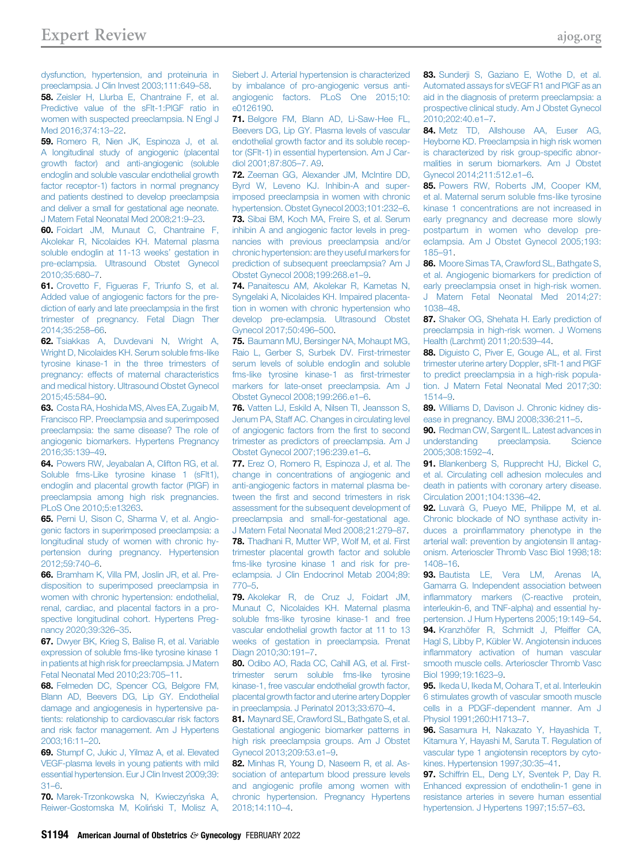[dysfunction, hypertension, and proteinuria in](http://refhub.elsevier.com/S0002-9378(20)31328-4/sref57) [preeclampsia. J Clin Invest 2003;111:649](http://refhub.elsevier.com/S0002-9378(20)31328-4/sref57)–58. 58. [Zeisler H, Llurba E, Chantraine F, et al.](http://refhub.elsevier.com/S0002-9378(20)31328-4/sref58) [Predictive value of the sFlt-1:PlGF ratio in](http://refhub.elsevier.com/S0002-9378(20)31328-4/sref58) [women with suspected preeclampsia. N Engl J](http://refhub.elsevier.com/S0002-9378(20)31328-4/sref58) [Med 2016;374:13](http://refhub.elsevier.com/S0002-9378(20)31328-4/sref58)–22.

<span id="page-12-2"></span>59. [Romero R, Nien JK, Espinoza J, et al.](http://refhub.elsevier.com/S0002-9378(20)31328-4/sref59) [A longitudinal study of angiogenic \(placental](http://refhub.elsevier.com/S0002-9378(20)31328-4/sref59) [growth factor\) and anti-angiogenic \(soluble](http://refhub.elsevier.com/S0002-9378(20)31328-4/sref59) [endoglin and soluble vascular endothelial growth](http://refhub.elsevier.com/S0002-9378(20)31328-4/sref59) [factor receptor-1\) factors in normal pregnancy](http://refhub.elsevier.com/S0002-9378(20)31328-4/sref59) [and patients destined to develop preeclampsia](http://refhub.elsevier.com/S0002-9378(20)31328-4/sref59) [and deliver a small for gestational age neonate.](http://refhub.elsevier.com/S0002-9378(20)31328-4/sref59) [J Matern Fetal Neonatal Med 2008;21:9](http://refhub.elsevier.com/S0002-9378(20)31328-4/sref59)–23.

<span id="page-12-3"></span>60. [Foidart JM, Munaut C, Chantraine F,](http://refhub.elsevier.com/S0002-9378(20)31328-4/sref60) [Akolekar R, Nicolaides KH. Maternal plasma](http://refhub.elsevier.com/S0002-9378(20)31328-4/sref60) [soluble endoglin at 11-13 weeks](http://refhub.elsevier.com/S0002-9378(20)31328-4/sref60)' gestation in [pre-eclampsia. Ultrasound Obstet Gynecol](http://refhub.elsevier.com/S0002-9378(20)31328-4/sref60) [2010;35:680](http://refhub.elsevier.com/S0002-9378(20)31328-4/sref60)–7.

<span id="page-12-4"></span>61. [Crovetto F, Figueras F, Triunfo S, et al.](http://refhub.elsevier.com/S0002-9378(20)31328-4/sref61) [Added value of angiogenic factors for the pre](http://refhub.elsevier.com/S0002-9378(20)31328-4/sref61)[diction of early and late preeclampsia in the](http://refhub.elsevier.com/S0002-9378(20)31328-4/sref61) first [trimester of pregnancy. Fetal Diagn Ther](http://refhub.elsevier.com/S0002-9378(20)31328-4/sref61) [2014;35:258](http://refhub.elsevier.com/S0002-9378(20)31328-4/sref61)–66.

<span id="page-12-5"></span>62. [Tsiakkas A, Duvdevani N, Wright A,](http://refhub.elsevier.com/S0002-9378(20)31328-4/sref62) [Wright D, Nicolaides KH. Serum soluble fms-like](http://refhub.elsevier.com/S0002-9378(20)31328-4/sref62) [tyrosine kinase-1 in the three trimesters of](http://refhub.elsevier.com/S0002-9378(20)31328-4/sref62) [pregnancy: effects of maternal characteristics](http://refhub.elsevier.com/S0002-9378(20)31328-4/sref62) [and medical history. Ultrasound Obstet Gynecol](http://refhub.elsevier.com/S0002-9378(20)31328-4/sref62) [2015;45:584](http://refhub.elsevier.com/S0002-9378(20)31328-4/sref62)–90.

<span id="page-12-6"></span>63. [Costa RA, Hoshida MS, Alves EA, Zugaib M,](http://refhub.elsevier.com/S0002-9378(20)31328-4/sref63) [Francisco RP. Preeclampsia and superimposed](http://refhub.elsevier.com/S0002-9378(20)31328-4/sref63) [preeclampsia: the same disease? The role of](http://refhub.elsevier.com/S0002-9378(20)31328-4/sref63) [angiogenic biomarkers. Hypertens Pregnancy](http://refhub.elsevier.com/S0002-9378(20)31328-4/sref63) [2016;35:139](http://refhub.elsevier.com/S0002-9378(20)31328-4/sref63)–49.

<span id="page-12-14"></span>64. [Powers RW, Jeyabalan A, Clifton RG, et al.](http://refhub.elsevier.com/S0002-9378(20)31328-4/sref64) [Soluble fms-Like tyrosine kinase 1 \(sFlt1\),](http://refhub.elsevier.com/S0002-9378(20)31328-4/sref64) [endoglin and placental growth factor \(PlGF\) in](http://refhub.elsevier.com/S0002-9378(20)31328-4/sref64) [preeclampsia among high risk pregnancies.](http://refhub.elsevier.com/S0002-9378(20)31328-4/sref64) [PLoS One 2010;5:e13263](http://refhub.elsevier.com/S0002-9378(20)31328-4/sref64).

<span id="page-12-12"></span>65. [Perni U, Sison C, Sharma V, et al. Angio](http://refhub.elsevier.com/S0002-9378(20)31328-4/sref65)[genic factors in superimposed preeclampsia: a](http://refhub.elsevier.com/S0002-9378(20)31328-4/sref65) [longitudinal study of women with chronic hy](http://refhub.elsevier.com/S0002-9378(20)31328-4/sref65)[pertension during pregnancy. Hypertension](http://refhub.elsevier.com/S0002-9378(20)31328-4/sref65) [2012;59:740](http://refhub.elsevier.com/S0002-9378(20)31328-4/sref65)–6.

<span id="page-12-13"></span>66. [Bramham K, Villa PM, Joslin JR, et al. Pre](http://refhub.elsevier.com/S0002-9378(20)31328-4/sref66)[disposition to superimposed preeclampsia in](http://refhub.elsevier.com/S0002-9378(20)31328-4/sref66) [women with chronic hypertension: endothelial,](http://refhub.elsevier.com/S0002-9378(20)31328-4/sref66) [renal, cardiac, and placental factors in a pro](http://refhub.elsevier.com/S0002-9378(20)31328-4/sref66)[spective longitudinal cohort. Hypertens Preg](http://refhub.elsevier.com/S0002-9378(20)31328-4/sref66)[nancy 2020;39:326](http://refhub.elsevier.com/S0002-9378(20)31328-4/sref66)–35.

<span id="page-12-7"></span>67. [Dwyer BK, Krieg S, Balise R, et al. Variable](http://refhub.elsevier.com/S0002-9378(20)31328-4/sref67) [expression of soluble fms-like tyrosine kinase 1](http://refhub.elsevier.com/S0002-9378(20)31328-4/sref67) [in patients at high risk for preeclampsia. J Matern](http://refhub.elsevier.com/S0002-9378(20)31328-4/sref67) [Fetal Neonatal Med 2010;23:705](http://refhub.elsevier.com/S0002-9378(20)31328-4/sref67)–11.

<span id="page-12-8"></span>68. [Felmeden DC, Spencer CG, Belgore FM,](http://refhub.elsevier.com/S0002-9378(20)31328-4/sref68) [Blann AD, Beevers DG, Lip GY. Endothelial](http://refhub.elsevier.com/S0002-9378(20)31328-4/sref68) [damage and angiogenesis in hypertensive pa](http://refhub.elsevier.com/S0002-9378(20)31328-4/sref68)[tients: relationship to cardiovascular risk factors](http://refhub.elsevier.com/S0002-9378(20)31328-4/sref68) [and risk factor management. Am J Hypertens](http://refhub.elsevier.com/S0002-9378(20)31328-4/sref68) [2003;16:11](http://refhub.elsevier.com/S0002-9378(20)31328-4/sref68)–20.

<span id="page-12-22"></span>69. [Stumpf C, Jukic J, Yilmaz A, et al. Elevated](http://refhub.elsevier.com/S0002-9378(20)31328-4/sref69) [VEGF-plasma levels in young patients with mild](http://refhub.elsevier.com/S0002-9378(20)31328-4/sref69) [essential hypertension. Eur J Clin Invest 2009;39:](http://refhub.elsevier.com/S0002-9378(20)31328-4/sref69) [31](http://refhub.elsevier.com/S0002-9378(20)31328-4/sref69)–6.

70. Marek-Trzonkowska N, Kwieczyńska A, Reiwer-Gostomska M, Koliński T, Molisz A, <span id="page-12-0"></span>[Siebert J. Arterial hypertension is characterized](http://refhub.elsevier.com/S0002-9378(20)31328-4/sref70) [by imbalance of pro-angiogenic versus anti](http://refhub.elsevier.com/S0002-9378(20)31328-4/sref70)[angiogenic factors. PLoS One 2015;10:](http://refhub.elsevier.com/S0002-9378(20)31328-4/sref70) [e0126190.](http://refhub.elsevier.com/S0002-9378(20)31328-4/sref70)

<span id="page-12-9"></span>71. [Belgore FM, Blann AD, Li-Saw-Hee FL,](http://refhub.elsevier.com/S0002-9378(20)31328-4/sref71) [Beevers DG, Lip GY. Plasma levels of vascular](http://refhub.elsevier.com/S0002-9378(20)31328-4/sref71) [endothelial growth factor and its soluble recep](http://refhub.elsevier.com/S0002-9378(20)31328-4/sref71)[tor \(SFlt-1\) in essential hypertension. Am J Car](http://refhub.elsevier.com/S0002-9378(20)31328-4/sref71)[diol 2001;87:805](http://refhub.elsevier.com/S0002-9378(20)31328-4/sref71)–7. A9.

<span id="page-12-11"></span><span id="page-12-10"></span>72. [Zeeman GG, Alexander JM, McIntire DD,](http://refhub.elsevier.com/S0002-9378(20)31328-4/sref72) [Byrd W, Leveno KJ. Inhibin-A and super](http://refhub.elsevier.com/S0002-9378(20)31328-4/sref72)[imposed preeclampsia in women with chronic](http://refhub.elsevier.com/S0002-9378(20)31328-4/sref72) [hypertension. Obstet Gynecol 2003;101:232](http://refhub.elsevier.com/S0002-9378(20)31328-4/sref72)–6. 73. [Sibai BM, Koch MA, Freire S, et al. Serum](http://refhub.elsevier.com/S0002-9378(20)31328-4/sref73) [inhibin A and angiogenic factor levels in preg](http://refhub.elsevier.com/S0002-9378(20)31328-4/sref73)[nancies with previous preeclampsia and/or](http://refhub.elsevier.com/S0002-9378(20)31328-4/sref73) [chronic hypertension: are they useful markers for](http://refhub.elsevier.com/S0002-9378(20)31328-4/sref73) [prediction of subsequent preeclampsia? Am J](http://refhub.elsevier.com/S0002-9378(20)31328-4/sref73) [Obstet Gynecol 2008;199:268.e1](http://refhub.elsevier.com/S0002-9378(20)31328-4/sref73)–9.

<span id="page-12-15"></span>74. [Panaitescu AM, Akolekar R, Kametas N,](http://refhub.elsevier.com/S0002-9378(20)31328-4/sref74) [Syngelaki A, Nicolaides KH. Impaired placenta](http://refhub.elsevier.com/S0002-9378(20)31328-4/sref74)[tion in women with chronic hypertension who](http://refhub.elsevier.com/S0002-9378(20)31328-4/sref74) [develop pre-eclampsia. Ultrasound Obstet](http://refhub.elsevier.com/S0002-9378(20)31328-4/sref74) [Gynecol 2017;50:496](http://refhub.elsevier.com/S0002-9378(20)31328-4/sref74)–500.

<span id="page-12-16"></span>75. [Baumann MU, Bersinger NA, Mohaupt MG,](http://refhub.elsevier.com/S0002-9378(20)31328-4/sref75) [Raio L, Gerber S, Surbek DV. First-trimester](http://refhub.elsevier.com/S0002-9378(20)31328-4/sref75) [serum levels of soluble endoglin and soluble](http://refhub.elsevier.com/S0002-9378(20)31328-4/sref75) [fms-like tyrosine kinase-1 as](http://refhub.elsevier.com/S0002-9378(20)31328-4/sref75) first-trimester [markers for late-onset preeclampsia. Am J](http://refhub.elsevier.com/S0002-9378(20)31328-4/sref75) [Obstet Gynecol 2008;199:266.e1](http://refhub.elsevier.com/S0002-9378(20)31328-4/sref75)–6.

<span id="page-12-17"></span>76. [Vatten LJ, Eskild A, Nilsen TI, Jeansson S,](http://refhub.elsevier.com/S0002-9378(20)31328-4/sref76) [Jenum PA, Staff AC. Changes in circulating level](http://refhub.elsevier.com/S0002-9378(20)31328-4/sref76) [of angiogenic factors from the](http://refhub.elsevier.com/S0002-9378(20)31328-4/sref76) first to second [trimester as predictors of preeclampsia. Am J](http://refhub.elsevier.com/S0002-9378(20)31328-4/sref76) [Obstet Gynecol 2007;196:239.e1](http://refhub.elsevier.com/S0002-9378(20)31328-4/sref76)–6.

<span id="page-12-18"></span>77. [Erez O, Romero R, Espinoza J, et al. The](http://refhub.elsevier.com/S0002-9378(20)31328-4/sref77) [change in concentrations of angiogenic and](http://refhub.elsevier.com/S0002-9378(20)31328-4/sref77) [anti-angiogenic factors in maternal plasma be](http://refhub.elsevier.com/S0002-9378(20)31328-4/sref77)tween the fi[rst and second trimesters in risk](http://refhub.elsevier.com/S0002-9378(20)31328-4/sref77) [assessment for the subsequent development of](http://refhub.elsevier.com/S0002-9378(20)31328-4/sref77) [preeclampsia and small-for-gestational age.](http://refhub.elsevier.com/S0002-9378(20)31328-4/sref77) [J Matern Fetal Neonatal Med 2008;21:279](http://refhub.elsevier.com/S0002-9378(20)31328-4/sref77)–87. 78. [Thadhani R, Mutter WP, Wolf M, et al. First](http://refhub.elsevier.com/S0002-9378(20)31328-4/sref78) [trimester placental growth factor and soluble](http://refhub.elsevier.com/S0002-9378(20)31328-4/sref78) [fms-like tyrosine kinase 1 and risk for pre](http://refhub.elsevier.com/S0002-9378(20)31328-4/sref78)[eclampsia. J Clin Endocrinol Metab 2004;89:](http://refhub.elsevier.com/S0002-9378(20)31328-4/sref78) [770](http://refhub.elsevier.com/S0002-9378(20)31328-4/sref78)–5.

<span id="page-12-19"></span>79. [Akolekar R, de Cruz J, Foidart JM,](http://refhub.elsevier.com/S0002-9378(20)31328-4/sref79) [Munaut C, Nicolaides KH. Maternal plasma](http://refhub.elsevier.com/S0002-9378(20)31328-4/sref79) [soluble fms-like tyrosine kinase-1 and free](http://refhub.elsevier.com/S0002-9378(20)31328-4/sref79) [vascular endothelial growth factor at 11 to 13](http://refhub.elsevier.com/S0002-9378(20)31328-4/sref79) [weeks of gestation in preeclampsia. Prenat](http://refhub.elsevier.com/S0002-9378(20)31328-4/sref79) [Diagn 2010;30:191](http://refhub.elsevier.com/S0002-9378(20)31328-4/sref79)–7.

80. [Odibo AO, Rada CC, Cahill AG, et al. First](http://refhub.elsevier.com/S0002-9378(20)31328-4/sref80)[trimester serum soluble fms-like tyrosine](http://refhub.elsevier.com/S0002-9378(20)31328-4/sref80) [kinase-1, free vascular endothelial growth factor,](http://refhub.elsevier.com/S0002-9378(20)31328-4/sref80) [placental growth factor and uterine artery Doppler](http://refhub.elsevier.com/S0002-9378(20)31328-4/sref80) [in preeclampsia. J Perinatol 2013;33:670](http://refhub.elsevier.com/S0002-9378(20)31328-4/sref80)–4.

<span id="page-12-20"></span>81. [Maynard SE, Crawford SL, Bathgate S, et al.](http://refhub.elsevier.com/S0002-9378(20)31328-4/sref81) [Gestational angiogenic biomarker patterns in](http://refhub.elsevier.com/S0002-9378(20)31328-4/sref81) [high risk preeclampsia groups. Am J Obstet](http://refhub.elsevier.com/S0002-9378(20)31328-4/sref81) [Gynecol 2013;209:53.e1](http://refhub.elsevier.com/S0002-9378(20)31328-4/sref81)–9.

<span id="page-12-21"></span>82. [Minhas R, Young D, Naseem R, et al. As](http://refhub.elsevier.com/S0002-9378(20)31328-4/sref82)[sociation of antepartum blood pressure levels](http://refhub.elsevier.com/S0002-9378(20)31328-4/sref82) and angiogenic profi[le among women with](http://refhub.elsevier.com/S0002-9378(20)31328-4/sref82) [chronic hypertension. Pregnancy Hypertens](http://refhub.elsevier.com/S0002-9378(20)31328-4/sref82) [2018;14:110](http://refhub.elsevier.com/S0002-9378(20)31328-4/sref82)–4.

<span id="page-12-23"></span>83. [Sunderji S, Gaziano E, Wothe D, et al.](http://refhub.elsevier.com/S0002-9378(20)31328-4/sref83) [Automated assays for sVEGF R1 and PlGF as an](http://refhub.elsevier.com/S0002-9378(20)31328-4/sref83) [aid in the diagnosis of preterm preeclampsia: a](http://refhub.elsevier.com/S0002-9378(20)31328-4/sref83) [prospective clinical study. Am J Obstet Gynecol](http://refhub.elsevier.com/S0002-9378(20)31328-4/sref83) [2010;202:40.e1](http://refhub.elsevier.com/S0002-9378(20)31328-4/sref83)–7.

<span id="page-12-24"></span>84. [Metz TD, Allshouse AA, Euser AG,](http://refhub.elsevier.com/S0002-9378(20)31328-4/sref84) [Heyborne KD. Preeclampsia in high risk women](http://refhub.elsevier.com/S0002-9378(20)31328-4/sref84) [is characterized by risk group-speci](http://refhub.elsevier.com/S0002-9378(20)31328-4/sref84)fic abnor[malities in serum biomarkers. Am J Obstet](http://refhub.elsevier.com/S0002-9378(20)31328-4/sref84) [Gynecol 2014;211:512.e1](http://refhub.elsevier.com/S0002-9378(20)31328-4/sref84)–6.

<span id="page-12-25"></span>85. [Powers RW, Roberts JM, Cooper KM,](http://refhub.elsevier.com/S0002-9378(20)31328-4/sref85) [et al. Maternal serum soluble fms-like tyrosine](http://refhub.elsevier.com/S0002-9378(20)31328-4/sref85) [kinase 1 concentrations are not increased in](http://refhub.elsevier.com/S0002-9378(20)31328-4/sref85) [early pregnancy and decrease more slowly](http://refhub.elsevier.com/S0002-9378(20)31328-4/sref85) [postpartum in women who develop pre](http://refhub.elsevier.com/S0002-9378(20)31328-4/sref85)[eclampsia. Am J Obstet Gynecol 2005;193:](http://refhub.elsevier.com/S0002-9378(20)31328-4/sref85) [185](http://refhub.elsevier.com/S0002-9378(20)31328-4/sref85)–91.

<span id="page-12-32"></span>86. [Moore Simas TA, Crawford SL, Bathgate S,](http://refhub.elsevier.com/S0002-9378(20)31328-4/sref86) [et al. Angiogenic biomarkers for prediction of](http://refhub.elsevier.com/S0002-9378(20)31328-4/sref86) [early preeclampsia onset in high-risk women.](http://refhub.elsevier.com/S0002-9378(20)31328-4/sref86) [J Matern Fetal Neonatal Med 2014;27:](http://refhub.elsevier.com/S0002-9378(20)31328-4/sref86) [1038](http://refhub.elsevier.com/S0002-9378(20)31328-4/sref86)–48.

<span id="page-12-26"></span>87. [Shaker OG, Shehata H. Early prediction of](http://refhub.elsevier.com/S0002-9378(20)31328-4/sref87) [preeclampsia in high-risk women. J Womens](http://refhub.elsevier.com/S0002-9378(20)31328-4/sref87) [Health \(Larchmt\) 2011;20:539](http://refhub.elsevier.com/S0002-9378(20)31328-4/sref87)–44.

88. Diquisto C, Piver E, Gouge AL, et al. First [trimester uterine artery Doppler, sFlt-1 and PlGF](http://refhub.elsevier.com/S0002-9378(20)31328-4/sref88) [to predict preeclampsia in a high-risk popula](http://refhub.elsevier.com/S0002-9378(20)31328-4/sref88)[tion. J Matern Fetal Neonatal Med 2017;30:](http://refhub.elsevier.com/S0002-9378(20)31328-4/sref88) [1514](http://refhub.elsevier.com/S0002-9378(20)31328-4/sref88)–9.

<span id="page-12-27"></span>89. [Williams D, Davison J. Chronic kidney dis](http://refhub.elsevier.com/S0002-9378(20)31328-4/sref89)[ease in pregnancy. BMJ 2008;336:211](http://refhub.elsevier.com/S0002-9378(20)31328-4/sref89)–5.

<span id="page-12-28"></span><span id="page-12-1"></span>90. [Redman CW, Sargent IL. Latest advances in](http://refhub.elsevier.com/S0002-9378(20)31328-4/sref90) [understanding preeclampsia. Science](http://refhub.elsevier.com/S0002-9378(20)31328-4/sref90) [2005;308:1592](http://refhub.elsevier.com/S0002-9378(20)31328-4/sref90)–4.

<span id="page-12-29"></span>91. [Blankenberg S, Rupprecht HJ, Bickel C,](http://refhub.elsevier.com/S0002-9378(20)31328-4/sref91) [et al. Circulating cell adhesion molecules and](http://refhub.elsevier.com/S0002-9378(20)31328-4/sref91) [death in patients with coronary artery disease.](http://refhub.elsevier.com/S0002-9378(20)31328-4/sref91) [Circulation 2001;104:1336](http://refhub.elsevier.com/S0002-9378(20)31328-4/sref91)–42.

92. [Luvarà G, Pueyo ME, Philippe M, et al.](http://refhub.elsevier.com/S0002-9378(20)31328-4/sref92) [Chronic blockade of NO synthase activity in](http://refhub.elsevier.com/S0002-9378(20)31328-4/sref92)duces a proinfl[ammatory phenotype in the](http://refhub.elsevier.com/S0002-9378(20)31328-4/sref92) [arterial wall: prevention by angiotensin II antag](http://refhub.elsevier.com/S0002-9378(20)31328-4/sref92)[onism. Arterioscler Thromb Vasc Biol 1998;18:](http://refhub.elsevier.com/S0002-9378(20)31328-4/sref92) [1408](http://refhub.elsevier.com/S0002-9378(20)31328-4/sref92)–16.

<span id="page-12-30"></span>93. [Bautista LE, Vera LM, Arenas IA,](http://refhub.elsevier.com/S0002-9378(20)31328-4/sref93) [Gamarra G. Independent association between](http://refhub.elsevier.com/S0002-9378(20)31328-4/sref93) infl[ammatory markers \(C-reactive protein,](http://refhub.elsevier.com/S0002-9378(20)31328-4/sref93) [interleukin-6, and TNF-alpha\) and essential hy](http://refhub.elsevier.com/S0002-9378(20)31328-4/sref93)[pertension. J Hum Hypertens 2005;19:149](http://refhub.elsevier.com/S0002-9378(20)31328-4/sref93)–54. 94. [Kranzhöfer R, Schmidt J, Pfeiffer CA,](http://refhub.elsevier.com/S0002-9378(20)31328-4/sref94) [Hagl S, Libby P, Kübler W. Angiotensin induces](http://refhub.elsevier.com/S0002-9378(20)31328-4/sref94) infl[ammatory activation of human vascular](http://refhub.elsevier.com/S0002-9378(20)31328-4/sref94) [smooth muscle cells. Arterioscler Thromb Vasc](http://refhub.elsevier.com/S0002-9378(20)31328-4/sref94) [Biol 1999;19:1623](http://refhub.elsevier.com/S0002-9378(20)31328-4/sref94)–9.

<span id="page-12-31"></span>95. [Ikeda U, Ikeda M, Oohara T, et al. Interleukin](http://refhub.elsevier.com/S0002-9378(20)31328-4/sref95) [6 stimulates growth of vascular smooth muscle](http://refhub.elsevier.com/S0002-9378(20)31328-4/sref95) [cells in a PDGF-dependent manner. Am J](http://refhub.elsevier.com/S0002-9378(20)31328-4/sref95) [Physiol 1991;260:H1713](http://refhub.elsevier.com/S0002-9378(20)31328-4/sref95)–7.

<span id="page-12-33"></span>96. [Sasamura H, Nakazato Y, Hayashida T,](http://refhub.elsevier.com/S0002-9378(20)31328-4/sref96) [Kitamura Y, Hayashi M, Saruta T. Regulation of](http://refhub.elsevier.com/S0002-9378(20)31328-4/sref96) [vascular type 1 angiotensin receptors by cyto](http://refhub.elsevier.com/S0002-9378(20)31328-4/sref96)[kines. Hypertension 1997;30:35](http://refhub.elsevier.com/S0002-9378(20)31328-4/sref96)–41.

<span id="page-12-34"></span>97. [Schiffrin EL, Deng LY, Sventek P, Day R.](http://refhub.elsevier.com/S0002-9378(20)31328-4/sref97) [Enhanced expression of endothelin-1 gene in](http://refhub.elsevier.com/S0002-9378(20)31328-4/sref97) [resistance arteries in severe human essential](http://refhub.elsevier.com/S0002-9378(20)31328-4/sref97) [hypertension. J Hypertens 1997;15:57](http://refhub.elsevier.com/S0002-9378(20)31328-4/sref97)–63.